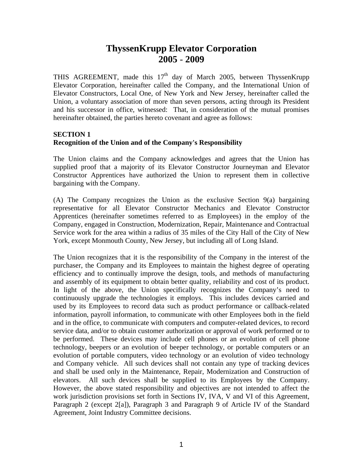# **ThyssenKrupp Elevator Corporation 2005** - **2009**

THIS AGREEMENT, made this  $17<sup>th</sup>$  day of March 2005, between ThyssenKrupp Elevator Corporation, hereinafter called the Company, and the International Union of Elevator Constructors, Local One, of New York and New Jersey, hereinafter called the Union, a voluntary association of more than seven persons, acting through its President and his successor in office, witnessed: That, in consideration of the mutual promises hereinafter obtained, the parties hereto covenant and agree as follows:

### **SECTION 1 Recognition of the Union and of the Company's Responsibility**

The Union claims and the Company acknowledges and agrees that the Union has supplied proof that a majority of its Elevator Constructor Journeyman and Elevator Constructor Apprentices have authorized the Union to represent them in collective bargaining with the Company.

(A) The Company recognizes the Union as the exclusive Section 9(a) bargaining representative for all Elevator Constructor Mechanics and Elevator Constructor Apprentices (hereinafter sometimes referred to as Employees) in the employ of the Company, engaged in Construction, Modernization, Repair, Maintenance and Contractual Service work for the area within a radius of 35 miles of the City Hall of the City of New York, except Monmouth County, New Jersey, but including all of Long Island.

The Union recognizes that it is the responsibility of the Company in the interest of the purchaser, the Company and its Employees to maintain the highest degree of operating efficiency and to continually improve the design, tools, and methods of manufacturing and assembly of its equipment to obtain better quality, reliability and cost of its product. In light of the above, the Union specifically recognizes the Company's need to continuously upgrade the technologies it employs. This includes devices carried and used by its Employees to record data such as product performance or callback-related information, payroll information, to communicate with other Employees both in the field and in the office, to communicate with computers and computer-related devices, to record service data, and/or to obtain customer authorization or approval of work performed or to be performed. These devices may include cell phones or an evolution of cell phone technology, beepers or an evolution of beeper technology, or portable computers or an evolution of portable computers, video technology or an evolution of video technology and Company vehicle. All such devices shall not contain any type of tracking devices and shall be used only in the Maintenance, Repair, Modernization and Construction of elevators. All such devices shall be supplied to its Employees by the Company. However, the above stated responsibility and objectives are not intended to affect the work jurisdiction provisions set forth in Sections IV, IVA, V and VI of this Agreement, Paragraph 2 (except 2[a]), Paragraph 3 and Paragraph 9 of Article IV of the Standard Agreement, Joint Industry Committee decisions.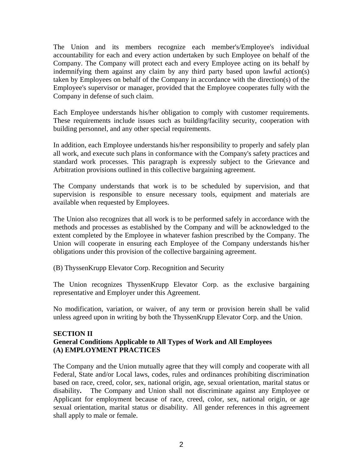The Union and its members recognize each member's/Employee's individual accountability for each and every action undertaken by such Employee on behalf of the Company. The Company will protect each and every Employee acting on its behalf by indemnifying them against any claim by any third party based upon lawful action(s) taken by Employees on behalf of the Company in accordance with the direction(s) of the Employee's supervisor or manager, provided that the Employee cooperates fully with the Company in defense of such claim.

Each Employee understands his/her obligation to comply with customer requirements. These requirements include issues such as building/facility security, cooperation with building personnel, and any other special requirements.

In addition, each Employee understands his/her responsibility to properly and safely plan all work, and execute such plans in conformance with the Company's safety practices and standard work processes. This paragraph is expressly subject to the Grievance and Arbitration provisions outlined in this collective bargaining agreement.

The Company understands that work is to be scheduled by supervision, and that supervision is responsible to ensure necessary tools, equipment and materials are available when requested by Employees.

The Union also recognizes that all work is to be performed safely in accordance with the methods and processes as established by the Company and will be acknowledged to the extent completed by the Employee in whatever fashion prescribed by the Company. The Union will cooperate in ensuring each Employee of the Company understands his/her obligations under this provision of the collective bargaining agreement.

(B) ThyssenKrupp Elevator Corp. Recognition and Security

The Union recognizes ThyssenKrupp Elevator Corp. as the exclusive bargaining representative and Employer under this Agreement.

No modification, variation, or waiver, of any term or provision herein shall be valid unless agreed upon in writing by both the ThyssenKrupp Elevator Corp. and the Union.

### **SECTION II General Conditions Applicable to All Types of Work and All Employees (A) EMPLOYMENT PRACTICES**

The Company and the Union mutually agree that they will comply and cooperate with all Federal, State and/or Local laws, codes, rules and ordinances prohibiting discrimination based on race, creed, color, sex, national origin, age, sexual orientation, marital status or disability**.** The Company and Union shall not discriminate against any Employee or Applicant for employment because of race, creed, color, sex, national origin, or age sexual orientation, marital status or disability. All gender references in this agreement shall apply to male or female.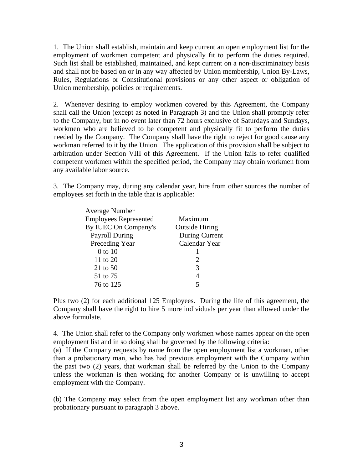1. The Union shall establish, maintain and keep current an open employment list for the employment of workmen competent and physically fit to perform the duties required. Such list shall be established, maintained, and kept current on a non-discriminatory basis and shall not be based on or in any way affected by Union membership, Union By-Laws, Rules, Regulations or Constitutional provisions or any other aspect or obligation of Union membership, policies or requirements.

2. Whenever desiring to employ workmen covered by this Agreement, the Company shall call the Union (except as noted in Paragraph 3) and the Union shall promptly refer to the Company, but in no event later than 72 hours exclusive of Saturdays and Sundays, workmen who are believed to be competent and physically fit to perform the duties needed by the Company. The Company shall have the right to reject for good cause any workman referred to it by the Union. The application of this provision shall be subject to arbitration under Section VIII of this Agreement. If the Union fails to refer qualified competent workmen within the specified period, the Company may obtain workmen from any available labor source.

3. The Company may, during any calendar year, hire from other sources the number of employees set forth in the table that is applicable:

| <b>Average Number</b>        |                       |
|------------------------------|-----------------------|
| <b>Employees Represented</b> | Maximum               |
| By IUEC On Company's         | <b>Outside Hiring</b> |
| <b>Payroll During</b>        | During Current        |
| Preceding Year               | Calendar Year         |
| $0$ to $10$                  |                       |
| 11 to 20                     |                       |
| 21 to 50                     | 3                     |
| 51 to 75                     |                       |
| 76 to 125                    |                       |

Plus two (2) for each additional 125 Employees. During the life of this agreement, the Company shall have the right to hire 5 more individuals per year than allowed under the above formulate.

4. The Union shall refer to the Company only workmen whose names appear on the open employment list and in so doing shall be governed by the following criteria:

(a) If the Company requests by name from the open employment list a workman, other than a probationary man, who has had previous employment with the Company within the past two (2) years, that workman shall be referred by the Union to the Company unless the workman is then working for another Company or is unwilling to accept employment with the Company.

(b) The Company may select from the open employment list any workman other than probationary pursuant to paragraph 3 above.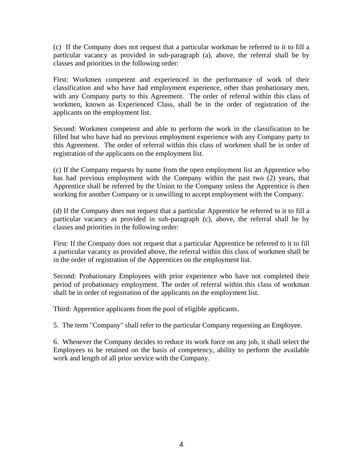(c) If the Company does not request that a particular workman be referred to it to fill a particular vacancy as provided in sub-paragraph (a), above, the referral shall be by classes and priorities in the following order:

First: Workmen competent and experienced in the performance of work of their classification and who have had employment experience, other than probationary men, with any Company party to this Agreement. The order of referral within this class of workmen, known as Experienced Class, shall be in the order of registration of the applicants on the employment list.

Second: Workmen competent and able to perform the work in the classification to be filled but who have had no previous employment experience with any Company party to this Agreement. The order of referral within this class of workmen shall be in order of registration of the applicants on the employment list.

(c) If the Company requests by name from the open employment list an Apprentice who has had previous employment with the Company within the past two (2) years, that Apprentice shall be referred by the Union to the Company unless the Apprentice is then working for another Company or is unwilling to accept employment with the Company.

(d) If the Company does not request that a particular Apprentice be referred to it to fill a particular vacancy as provided in sub-paragraph (c), above, the referral shall be by classes and priorities in the following order:

First: If the Company does not request that a particular Apprentice be referred to it to fill a particular vacancy as provided above, the referral within this class of workmen shall be in the order of registration of the Apprentices on the employment list.

Second: Probationary Employees with prior experience who have not completed their period of probationary employment. The order of referral within this class of workman shall be in order of registration of the applicants on the employment list.

Third: Apprentice applicants from the pool of eligible applicants.

5. The term "Company" shall refer to the particular Company requesting an Employee.

6. Whenever the Company decides to reduce its work force on any job, it shall select the Employees to be retained on the basis of competency, ability to perform the available work and length of all prior service with the Company.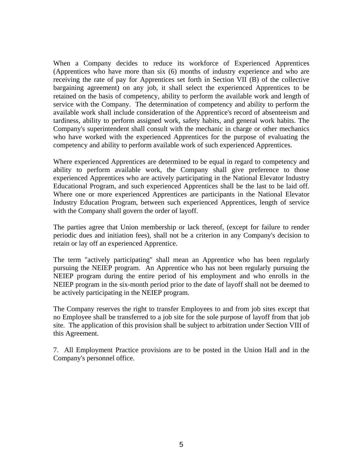When a Company decides to reduce its workforce of Experienced Apprentices (Apprentices who have more than six (6) months of industry experience and who are receiving the rate of pay for Apprentices set forth in Section VII (B) of the collective bargaining agreement) on any job, it shall select the experienced Apprentices to be retained on the basis of competency, ability to perform the available work and length of service with the Company. The determination of competency and ability to perform the available work shall include consideration of the Apprentice's record of absenteeism and tardiness, ability to perform assigned work, safety habits, and general work habits. The Company's superintendent shall consult with the mechanic in charge or other mechanics who have worked with the experienced Apprentices for the purpose of evaluating the competency and ability to perform available work of such experienced Apprentices.

Where experienced Apprentices are determined to be equal in regard to competency and ability to perform available work, the Company shall give preference to those experienced Apprentices who are actively participating in the National Elevator Industry Educational Program, and such experienced Apprentices shall be the last to be laid off. Where one or more experienced Apprentices are participants in the National Elevator Industry Education Program, between such experienced Apprentices, length of service with the Company shall govern the order of layoff.

The parties agree that Union membership or lack thereof, (except for failure to render periodic dues and initiation fees), shall not be a criterion in any Company's decision to retain or lay off an experienced Apprentice.

The term "actively participating" shall mean an Apprentice who has been regularly pursuing the NEIEP program. An Apprentice who has not been regularly pursuing the NEIEP program during the entire period of his employment and who enrolls in the NEIEP program in the six-month period prior to the date of layoff shall not be deemed to be actively participating in the NEIEP program.

The Company reserves the right to transfer Employees to and from job sites except that no Employee shall be transferred to a job site for the sole purpose of layoff from that job site. The application of this provision shall be subject to arbitration under Section VIII of this Agreement.

7. All Employment Practice provisions are to be posted in the Union Hall and in the Company's personnel office.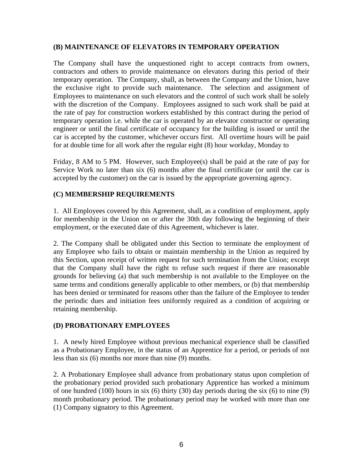#### **(B) MAINTENANCE OF ELEVATORS IN TEMPORARY OPERATION**

The Company shall have the unquestioned right to accept contracts from owners, contractors and others to provide maintenance on elevators during this period of their temporary operation. The Company, shall, as between the Company and the Union, have the exclusive right to provide such maintenance. The selection and assignment of Employees to maintenance on such elevators and the control of such work shall be solely with the discretion of the Company. Employees assigned to such work shall be paid at the rate of pay for construction workers established by this contract during the period of temporary operation i.e. while the car is operated by an elevator constructor or operating engineer or until the final certificate of occupancy for the building is issued or until the car is accepted by the customer, whichever occurs first. All overtime hours will be paid for at double time for all work after the regular eight (8) hour workday, Monday to

Friday, 8 AM to 5 PM. However, such Employee(s) shall be paid at the rate of pay for Service Work no later than six (6) months after the final certificate (or until the car is accepted by the customer) on the car is issued by the appropriate governing agency.

### **(C) MEMBERSHIP REQUIREMENTS**

1. All Employees covered by this Agreement, shall, as a condition of employment, apply for membership in the Union on or after the 30th day following the beginning of their employment, or the executed date of this Agreement, whichever is later.

2. The Company shall be obligated under this Section to terminate the employment of any Employee who fails to obtain or maintain membership in the Union as required by this Section, upon receipt of written request for such termination from the Union; except that the Company shall have the right to refuse such request if there are reasonable grounds for believing (a) that such membership is not available to the Employee on the same terms and conditions generally applicable to other members, or (b) that membership has been denied or terminated for reasons other than the failure of the Employee to tender the periodic dues and initiation fees uniformly required as a condition of acquiring or retaining membership.

### **(D) PROBATIONARY EMPLOYEES**

1. A newly hired Employee without previous mechanical experience shall be classified as a Probationary Employee, in the status of an Apprentice for a period, or periods of not less than six (6) months nor more than nine (9) months.

2. A Probationary Employee shall advance from probationary status upon completion of the probationary period provided such probationary Apprentice has worked a minimum of one hundred (100) hours in six (6) thirty (30) day periods during the six (6) to nine (9) month probationary period. The probationary period may be worked with more than one (1) Company signatory to this Agreement.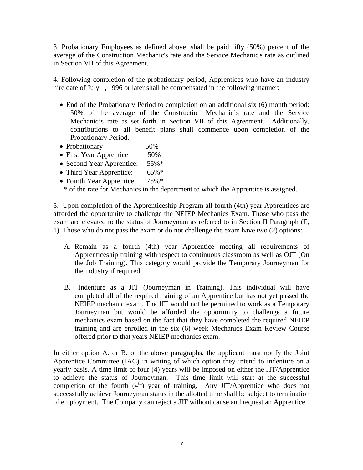3. Probationary Employees as defined above, shall be paid fifty (50%) percent of the average of the Construction Mechanic's rate and the Service Mechanic's rate as outlined in Section VII of this Agreement.

4. Following completion of the probationary period, Apprentices who have an industry hire date of July 1, 1996 or later shall be compensated in the following manner:

- End of the Probationary Period to completion on an additional six (6) month period: 50% of the average of the Construction Mechanic's rate and the Service Mechanic's rate as set forth in Section VII of this Agreement. Additionally, contributions to all benefit plans shall commence upon completion of the Probationary Period.
- Probationary 50%
- First Year Apprentice 50%
- Second Year Apprentice: 55%\*
- Third Year Apprentice: 65%\*
- Fourth Year Apprentice: 75%\*

\* of the rate for Mechanics in the department to which the Apprentice is assigned.

5. Upon completion of the Apprenticeship Program all fourth (4th) year Apprentices are afforded the opportunity to challenge the NEIEP Mechanics Exam. Those who pass the exam are elevated to the status of Journeyman as referred to in Section II Paragraph (E, 1). Those who do not pass the exam or do not challenge the exam have two (2) options:

- A. Remain as a fourth (4th) year Apprentice meeting all requirements of Apprenticeship training with respect to continuous classroom as well as OJT (On the Job Training). This category would provide the Temporary Journeyman for the industry if required.
- B. Indenture as a JIT (Journeyman in Training). This individual will have completed all of the required training of an Apprentice but has not yet passed the NEIEP mechanic exam. The JIT would not be permitted to work as a Temporary Journeyman but would be afforded the opportunity to challenge a future mechanics exam based on the fact that they have completed the required NEIEP training and are enrolled in the six (6) week Mechanics Exam Review Course offered prior to that years NEIEP mechanics exam.

In either option A. or B. of the above paragraphs, the applicant must notify the Joint Apprentice Committee (JAC) in writing of which option they intend to indenture on a yearly basis. A time limit of four (4) years will be imposed on either the JIT/Apprentice to achieve the status of Journeyman. This time limit will start at the successful completion of the fourth  $(4<sup>th</sup>)$  year of training. Any JIT/Apprentice who does not successfully achieve Journeyman status in the allotted time shall be subject to termination of employment. The Company can reject a JIT without cause and request an Apprentice.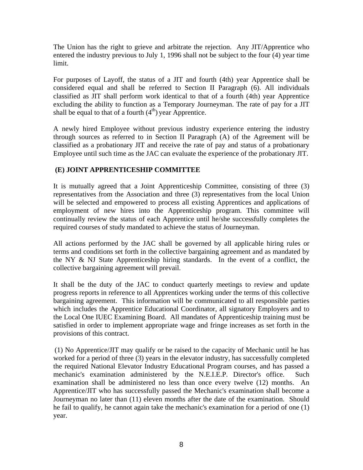The Union has the right to grieve and arbitrate the rejection. Any JIT/Apprentice who entered the industry previous to July 1, 1996 shall not be subject to the four (4) year time limit.

For purposes of Layoff, the status of a JIT and fourth (4th) year Apprentice shall be considered equal and shall be referred to Section II Paragraph (6). All individuals classified as JIT shall perform work identical to that of a fourth (4th) year Apprentice excluding the ability to function as a Temporary Journeyman. The rate of pay for a JIT shall be equal to that of a fourth  $(4<sup>th</sup>)$  year Apprentice.

A newly hired Employee without previous industry experience entering the industry through sources as referred to in Section II Paragraph (A) of the Agreement will be classified as a probationary JIT and receive the rate of pay and status of a probationary Employee until such time as the JAC can evaluate the experience of the probationary JIT.

# **(E) JOINT APPRENTICESHIP COMMITTEE**

It is mutually agreed that a Joint Apprenticeship Committee, consisting of three (3) representatives from the Association and three (3) representatives from the local Union will be selected and empowered to process all existing Apprentices and applications of employment of new hires into the Apprenticeship program. This committee will continually review the status of each Apprentice until he/she successfully completes the required courses of study mandated to achieve the status of Journeyman.

All actions performed by the JAC shall be governed by all applicable hiring rules or terms and conditions set forth in the collective bargaining agreement and as mandated by the NY & NJ State Apprenticeship hiring standards. In the event of a conflict, the collective bargaining agreement will prevail.

It shall be the duty of the JAC to conduct quarterly meetings to review and update progress reports in reference to all Apprentices working under the terms of this collective bargaining agreement. This information will be communicated to all responsible parties which includes the Apprentice Educational Coordinator, all signatory Employers and to the Local One IUEC Examining Board. All mandates of Apprenticeship training must be satisfied in order to implement appropriate wage and fringe increases as set forth in the provisions of this contract.

 (1) No Apprentice/JIT may qualify or be raised to the capacity of Mechanic until he has worked for a period of three (3) years in the elevator industry, has successfully completed the required National Elevator Industry Educational Program courses, and has passed a mechanic's examination administered by the N.E.I.E.P. Director's office. Such examination shall be administered no less than once every twelve (12) months. An Apprentice/JIT who has successfully passed the Mechanic's examination shall become a Journeyman no later than (11) eleven months after the date of the examination. Should he fail to qualify, he cannot again take the mechanic's examination for a period of one (1) year.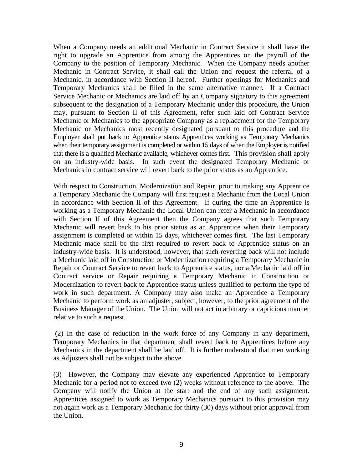When a Company needs an additional Mechanic in Contract Service it shall have the right to upgrade an Apprentice from among the Apprentices on the payroll of the Company to the position of Temporary Mechanic. When the Company needs another Mechanic in Contract Service, it shall call the Union and request the referral of a Mechanic, in accordance with Section II hereof. Further openings for Mechanics and Temporary Mechanics shall be filled in the same alternative manner. If a Contract Service Mechanic or Mechanics are laid off by an Company signatory to this agreement subsequent to the designation of a Temporary Mechanic under this procedure, the Union may, pursuant to Section II of this Agreement, refer such laid off Contract Service Mechanic or Mechanics to the appropriate Company as a replacement for the Temporary Mechanic or Mechanics most recently designated pursuant to this procedure and the Employer shall put back to Apprentice status Apprentices working as Temporary Mechanics when their temporary assignment is completed or within 15 days of when the Employer is notified that there is a qualified Mechanic available, whichever comes first. This provision shall apply on an industry-wide basis. In such event the designated Temporary Mechanic or Mechanics in contract service will revert back to the prior status as an Apprentice.

With respect to Construction, Modernization and Repair, prior to making any Apprentice a Temporary Mechanic the Company will first request a Mechanic from the Local Union in accordance with Section II of this Agreement. If during the time an Apprentice is working as a Temporary Mechanic the Local Union can refer a Mechanic in accordance with Section II of this Agreement then the Company agrees that such Temporary Mechanic will revert back to his prior status as an Apprentice when their Temporary assignment is completed or within 15 days, whichever comes first. The last Temporary Mechanic made shall be the first required to revert back to Apprentice status on an industry-wide basis. It is understood, however, that such reverting back will not include a Mechanic laid off in Construction or Modernization requiring a Temporary Mechanic in Repair or Contract Service to revert back to Apprentice status, nor a Mechanic laid off in Contract service or Repair requiring a Temporary Mechanic in Construction or Modernization to revert back to Apprentice status unless qualified to perform the type of work in such department. A Company may also make an Apprentice a Temporary Mechanic to perform work as an adjuster, subject, however, to the prior agreement of the Business Manager of the Union. The Union will not act in arbitrary or capricious manner relative to such a request.

 (2) In the case of reduction in the work force of any Company in any department, Temporary Mechanics in that department shall revert back to Apprentices before any Mechanics in the department shall be laid off. It is further understood that men working as Adjusters shall not be subject to the above.

(3) However, the Company may elevate any experienced Apprentice to Temporary Mechanic for a period not to exceed two (2) weeks without reference to the above. The Company will notify the Union at the start and the end of any such assignment. Apprentices assigned to work as Temporary Mechanics pursuant to this provision may not again work as a Temporary Mechanic for thirty (30) days without prior approval from the Union.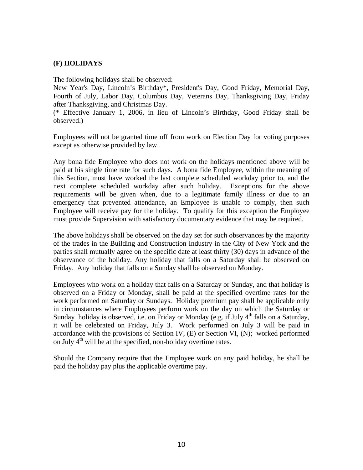### **(F) HOLIDAYS**

The following holidays shall be observed:

New Year's Day, Lincoln's Birthday\*, President's Day, Good Friday, Memorial Day, Fourth of July, Labor Day, Columbus Day, Veterans Day, Thanksgiving Day, Friday after Thanksgiving, and Christmas Day.

(\* Effective January 1, 2006, in lieu of Lincoln's Birthday, Good Friday shall be observed.)

Employees will not be granted time off from work on Election Day for voting purposes except as otherwise provided by law.

Any bona fide Employee who does not work on the holidays mentioned above will be paid at his single time rate for such days. A bona fide Employee, within the meaning of this Section, must have worked the last complete scheduled workday prior to, and the next complete scheduled workday after such holiday. Exceptions for the above requirements will be given when, due to a legitimate family illness or due to an emergency that prevented attendance, an Employee is unable to comply, then such Employee will receive pay for the holiday. To qualify for this exception the Employee must provide Supervision with satisfactory documentary evidence that may be required.

The above holidays shall be observed on the day set for such observances by the majority of the trades in the Building and Construction Industry in the City of New York and the parties shall mutually agree on the specific date at least thirty (30) days in advance of the observance of the holiday. Any holiday that falls on a Saturday shall be observed on Friday. Any holiday that falls on a Sunday shall be observed on Monday.

Employees who work on a holiday that falls on a Saturday or Sunday, and that holiday is observed on a Friday or Monday, shall be paid at the specified overtime rates for the work performed on Saturday or Sundays. Holiday premium pay shall be applicable only in circumstances where Employees perform work on the day on which the Saturday or Sunday holiday is observed, i.e. on Friday or Monday (e.g. if July 4<sup>th</sup> falls on a Saturday, it will be celebrated on Friday, July 3. Work performed on July 3 will be paid in accordance with the provisions of Section IV, (E) or Section VI, (N); worked performed on July  $4<sup>th</sup>$  will be at the specified, non-holiday overtime rates.

Should the Company require that the Employee work on any paid holiday, he shall be paid the holiday pay plus the applicable overtime pay.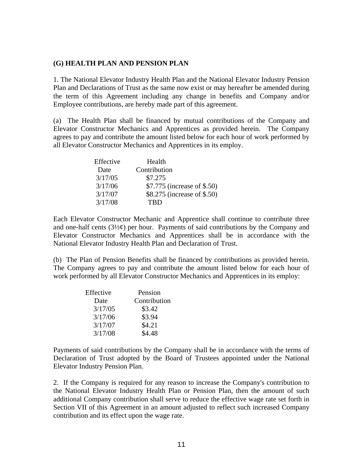#### **(G) HEALTH PLAN AND PENSION PLAN**

1. The National Elevator Industry Health Plan and the National Elevator Industry Pension Plan and Declarations of Trust as the same now exist or may hereafter be amended during the term of this Agreement including any change in benefits and Company and/or Employee contributions, are hereby made part of this agreement.

(a) The Health Plan shall be financed by mutual contributions of the Company and Elevator Constructor Mechanics and Apprentices as provided herein. The Company agrees to pay and contribute the amount listed below for each hour of work performed by all Elevator Constructor Mechanics and Apprentices in its employ.

| Effective | Health                      |
|-----------|-----------------------------|
| Date      | Contribution                |
| 3/17/05   | \$7.275                     |
| 3/17/06   | \$7.775 (increase of \$.50) |
| 3/17/07   | \$8.275 (increase of \$.50) |
| 3/17/08   | <b>TRD</b>                  |

Each Elevator Constructor Mechanic and Apprentice shall continue to contribute three and one-half cents  $(3\frac{1}{2}\phi)$  per hour. Payments of said contributions by the Company and Elevator Constructor Mechanics and Apprentices shall be in accordance with the National Elevator Industry Health Plan and Declaration of Trust.

(b) The Plan of Pension Benefits shall be financed by contributions as provided herein. The Company agrees to pay and contribute the amount listed below for each hour of work performed by all Elevator Constructor Mechanics and Apprentices in its employ:

| Effective | Pension      |
|-----------|--------------|
| Date      | Contribution |
| 3/17/05   | \$3.42       |
| 3/17/06   | \$3.94       |
| 3/17/07   | \$4.21       |
| 3/17/08   | \$4.48       |

Payments of said contributions by the Company shall be in accordance with the terms of Declaration of Trust adopted by the Board of Trustees appointed under the National Elevator Industry Pension Plan.

2. If the Company is required for any reason to increase the Company's contribution to the National Elevator Industry Health Plan or Pension Plan, then the amount of such additional Company contribution shall serve to reduce the effective wage rate set forth in Section VII of this Agreement in an amount adjusted to reflect such increased Company contribution and its effect upon the wage rate.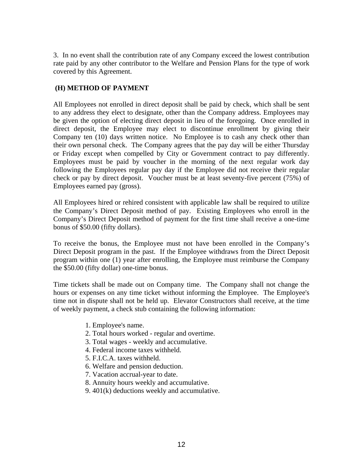3. In no event shall the contribution rate of any Company exceed the lowest contribution rate paid by any other contributor to the Welfare and Pension Plans for the type of work covered by this Agreement.

# **(H) METHOD OF PAYMENT**

All Employees not enrolled in direct deposit shall be paid by check, which shall be sent to any address they elect to designate, other than the Company address. Employees may be given the option of electing direct deposit in lieu of the foregoing. Once enrolled in direct deposit, the Employee may elect to discontinue enrollment by giving their Company ten (10) days written notice. No Employee is to cash any check other than their own personal check. The Company agrees that the pay day will be either Thursday or Friday except when compelled by City or Government contract to pay differently. Employees must be paid by voucher in the morning of the next regular work day following the Employees regular pay day if the Employee did not receive their regular check or pay by direct deposit. Voucher must be at least seventy-five percent (75%) of Employees earned pay (gross).

All Employees hired or rehired consistent with applicable law shall be required to utilize the Company's Direct Deposit method of pay. Existing Employees who enroll in the Company's Direct Deposit method of payment for the first time shall receive a one-time bonus of \$50.00 (fifty dollars).

To receive the bonus, the Employee must not have been enrolled in the Company's Direct Deposit program in the past. If the Employee withdraws from the Direct Deposit program within one (1) year after enrolling, the Employee must reimburse the Company the \$50.00 (fifty dollar) one-time bonus.

Time tickets shall be made out on Company time. The Company shall not change the hours or expenses on any time ticket without informing the Employee. The Employee's time not in dispute shall not be held up. Elevator Constructors shall receive, at the time of weekly payment, a check stub containing the following information:

- 1. Employee's name.
- 2. Total hours worked regular and overtime.
- 3. Total wages weekly and accumulative.
- 4. Federal income taxes withheld.
- 5. F.I.C.A. taxes withheld.
- 6. Welfare and pension deduction.
- 7. Vacation accrual-year to date.
- 8. Annuity hours weekly and accumulative.
- 9. 401(k) deductions weekly and accumulative.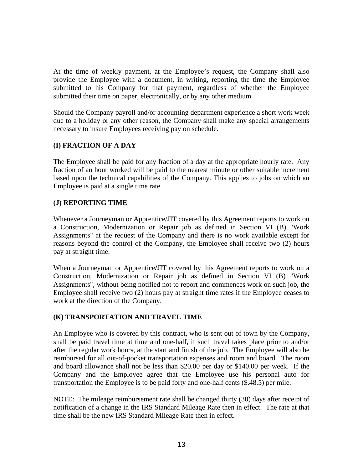At the time of weekly payment, at the Employee's request, the Company shall also provide the Employee with a document, in writing, reporting the time the Employee submitted to his Company for that payment, regardless of whether the Employee submitted their time on paper, electronically, or by any other medium.

Should the Company payroll and/or accounting department experience a short work week due to a holiday or any other reason, the Company shall make any special arrangements necessary to insure Employees receiving pay on schedule.

# **(I) FRACTION OF A DAY**

The Employee shall be paid for any fraction of a day at the appropriate hourly rate. Any fraction of an hour worked will be paid to the nearest minute or other suitable increment based upon the technical capabilities of the Company. This applies to jobs on which an Employee is paid at a single time rate.

# **(J) REPORTING TIME**

Whenever a Journeyman or Apprentice/JIT covered by this Agreement reports to work on a Construction, Modernization or Repair job as defined in Section VI (B) "Work Assignments" at the request of the Company and there is no work available except for reasons beyond the control of the Company, the Employee shall receive two (2) hours pay at straight time.

When a Journeyman or Apprentice**/**JIT covered by this Agreement reports to work on a Construction, Modernization or Repair job as defined in Section VI (B) "Work Assignments", without being notified not to report and commences work on such job, the Employee shall receive two (2) hours pay at straight time rates if the Employee ceases to work at the direction of the Company.

### **(K) TRANSPORTATION AND TRAVEL TIME**

An Employee who is covered by this contract, who is sent out of town by the Company, shall be paid travel time at time and one-half, if such travel takes place prior to and/or after the regular work hours, at the start and finish of the job. The Employee will also be reimbursed for all out-of-pocket transportation expenses and room and board. The room and board allowance shall not be less than \$20.00 per day or \$140.00 per week. If the Company and the Employee agree that the Employee use his personal auto for transportation the Employee is to be paid forty and one-half cents (\$.48.5) per mile.

NOTE: The mileage reimbursement rate shall be changed thirty (30) days after receipt of notification of a change in the IRS Standard Mileage Rate then in effect. The rate at that time shall be the new IRS Standard Mileage Rate then in effect.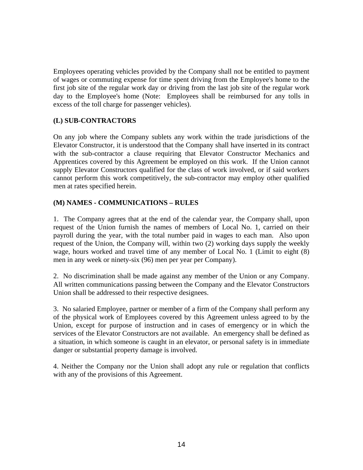Employees operating vehicles provided by the Company shall not be entitled to payment of wages or commuting expense for time spent driving from the Employee's home to the first job site of the regular work day or driving from the last job site of the regular work day to the Employee's home (Note: Employees shall be reimbursed for any tolls in excess of the toll charge for passenger vehicles).

### **(L) SUB-CONTRACTORS**

On any job where the Company sublets any work within the trade jurisdictions of the Elevator Constructor, it is understood that the Company shall have inserted in its contract with the sub-contractor a clause requiring that Elevator Constructor Mechanics and Apprentices covered by this Agreement be employed on this work. If the Union cannot supply Elevator Constructors qualified for the class of work involved, or if said workers cannot perform this work competitively, the sub-contractor may employ other qualified men at rates specified herein.

### **(M) NAMES - COMMUNICATIONS – RULES**

1. The Company agrees that at the end of the calendar year, the Company shall, upon request of the Union furnish the names of members of Local No. 1, carried on their payroll during the year, with the total number paid in wages to each man. Also upon request of the Union, the Company will, within two (2) working days supply the weekly wage, hours worked and travel time of any member of Local No. 1 (Limit to eight (8) men in any week or ninety-six (96) men per year per Company).

2. No discrimination shall be made against any member of the Union or any Company. All written communications passing between the Company and the Elevator Constructors Union shall be addressed to their respective designees.

3. No salaried Employee, partner or member of a firm of the Company shall perform any of the physical work of Employees covered by this Agreement unless agreed to by the Union, except for purpose of instruction and in cases of emergency or in which the services of the Elevator Constructors are not available. An emergency shall be defined as a situation, in which someone is caught in an elevator, or personal safety is in immediate danger or substantial property damage is involved.

4. Neither the Company nor the Union shall adopt any rule or regulation that conflicts with any of the provisions of this Agreement.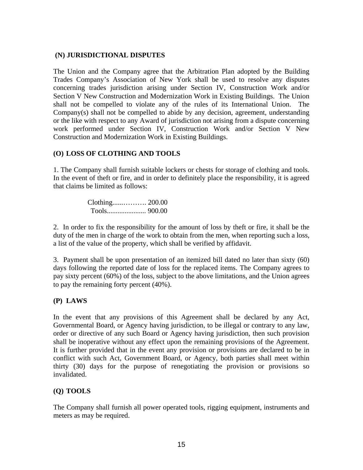### **(N) JURISDICTIONAL DISPUTES**

The Union and the Company agree that the Arbitration Plan adopted by the Building Trades Company's Association of New York shall be used to resolve any disputes concerning trades jurisdiction arising under Section IV, Construction Work and/or Section V New Construction and Modernization Work in Existing Buildings. The Union shall not be compelled to violate any of the rules of its International Union. The Company(s) shall not be compelled to abide by any decision, agreement, understanding or the like with respect to any Award of jurisdiction not arising from a dispute concerning work performed under Section IV, Construction Work and/or Section V New Construction and Modernization Work in Existing Buildings.

### **(O) LOSS OF CLOTHING AND TOOLS**

1. The Company shall furnish suitable lockers or chests for storage of clothing and tools. In the event of theft or fire, and in order to definitely place the responsibility, it is agreed that claims be limited as follows:

> Clothing......………. 200.00 Tools...................... 900.00

2. In order to fix the responsibility for the amount of loss by theft or fire, it shall be the duty of the men in charge of the work to obtain from the men, when reporting such a loss, a list of the value of the property, which shall be verified by affidavit.

3. Payment shall be upon presentation of an itemized bill dated no later than sixty (60) days following the reported date of loss for the replaced items. The Company agrees to pay sixty percent (60%) of the loss, subject to the above limitations, and the Union agrees to pay the remaining forty percent (40%).

### **(P) LAWS**

In the event that any provisions of this Agreement shall be declared by any Act, Governmental Board, or Agency having jurisdiction, to be illegal or contrary to any law, order or directive of any such Board or Agency having jurisdiction, then such provision shall be inoperative without any effect upon the remaining provisions of the Agreement. It is further provided that in the event any provision or provisions are declared to be in conflict with such Act, Government Board, or Agency, both parties shall meet within thirty (30) days for the purpose of renegotiating the provision or provisions so invalidated.

### **(Q) TOOLS**

The Company shall furnish all power operated tools, rigging equipment, instruments and meters as may be required.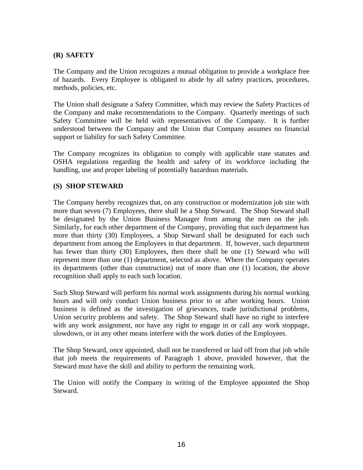### **(R) SAFETY**

The Company and the Union recognizes a mutual obligation to provide a workplace free of hazards. Every Employee is obligated to abide by all safety practices, procedures, methods, policies, etc.

The Union shall designate a Safety Committee, which may review the Safety Practices of the Company and make recommendations to the Company. Quarterly meetings of such Safety Committee will be held with representatives of the Company. It is further understood between the Company and the Union that Company assumes no financial support or liability for such Safety Committee.

The Company recognizes its obligation to comply with applicable state statutes and OSHA regulations regarding the health and safety of its workforce including the handling, use and proper labeling of potentially hazardous materials.

### **(S) SHOP STEWARD**

The Company hereby recognizes that, on any construction or modernization job site with more than seven (7) Employees, there shall be a Shop Steward. The Shop Steward shall be designated by the Union Business Manager from among the men on the job. Similarly, for each other department of the Company, providing that such department has more than thirty (30) Employees, a Shop Steward shall be designated for each such department from among the Employees in that department. If, however, such department has fewer than thirty (30) Employees, then there shall be one (1) Steward who will represent more than one (1) department, selected as above. Where the Company operates its departments (other than construction) out of more than one (1) location, the above recognition shall apply to each such location.

Such Shop Steward will perform his normal work assignments during his normal working hours and will only conduct Union business prior to or after working hours. Union business is defined as the investigation of grievances, trade jurisdictional problems, Union security problems and safety. The Shop Steward shall have no right to interfere with any work assignment, nor have any right to engage in or call any work stoppage, slowdown, or in any other means interfere with the work duties of the Employees.

The Shop Steward, once appointed, shall not be transferred or laid off from that job while that job meets the requirements of Paragraph 1 above, provided however, that the Steward must have the skill and ability to perform the remaining work.

The Union will notify the Company in writing of the Employee appointed the Shop Steward.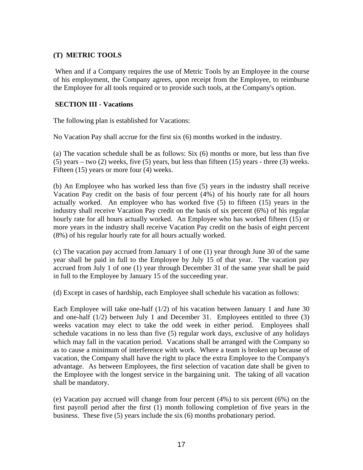### **(T) METRIC TOOLS**

 When and if a Company requires the use of Metric Tools by an Employee in the course of his employment, the Company agrees, upon receipt from the Employee, to reimburse the Employee for all tools required or to provide such tools, at the Company's option.

### **SECTION III - Vacations**

The following plan is established for Vacations:

No Vacation Pay shall accrue for the first six (6) months worked in the industry.

(a) The vacation schedule shall be as follows: Six (6) months or more, but less than five  $(5)$  years – two  $(2)$  weeks, five  $(5)$  years, but less than fifteen  $(15)$  years - three  $(3)$  weeks. Fifteen (15) years or more four (4) weeks.

(b) An Employee who has worked less than five (5) years in the industry shall receive Vacation Pay credit on the basis of four percent (4%) of his hourly rate for all hours actually worked. An employee who has worked five (5) to fifteen (15) years in the industry shall receive Vacation Pay credit on the basis of six percent (6%) of his regular hourly rate for all hours actually worked. An Employee who has worked fifteen (15) or more years in the industry shall receive Vacation Pay credit on the basis of eight percent (8%) of his regular hourly rate for all hours actually worked.

(c) The vacation pay accrued from January 1 of one (1) year through June 30 of the same year shall be paid in full to the Employee by July 15 of that year. The vacation pay accrued from July 1 of one (1) year through December 31 of the same year shall be paid in full to the Employee by January 15 of the succeeding year.

(d) Except in cases of hardship, each Employee shall schedule his vacation as follows:

Each Employee will take one-half (1/2) of his vacation between January 1 and June 30 and one-half (1/2) between July 1 and December 31. Employees entitled to three (3) weeks vacation may elect to take the odd week in either period. Employees shall schedule vacations in no less than five (5) regular work days, exclusive of any holidays which may fall in the vacation period. Vacations shall be arranged with the Company so as to cause a minimum of interference with work. Where a team is broken up because of vacation, the Company shall have the right to place the extra Employee to the Company's advantage. As between Employees, the first selection of vacation date shall be given to the Employee with the longest service in the bargaining unit. The taking of all vacation shall be mandatory.

(e) Vacation pay accrued will change from four percent (4%) to six percent (6%) on the first payroll period after the first (1) month following completion of five years in the business. These five (5) years include the six (6) months probationary period.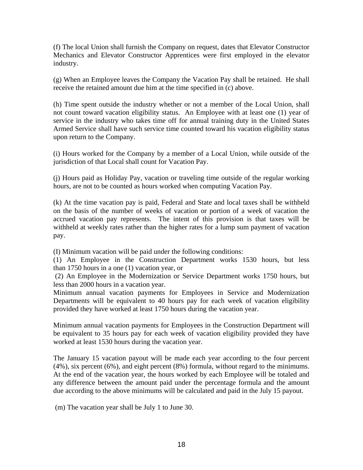(f) The local Union shall furnish the Company on request, dates that Elevator Constructor Mechanics and Elevator Constructor Apprentices were first employed in the elevator industry.

(g) When an Employee leaves the Company the Vacation Pay shall be retained. He shall receive the retained amount due him at the time specified in (c) above.

(h) Time spent outside the industry whether or not a member of the Local Union, shall not count toward vacation eligibility status. An Employee with at least one (1) year of service in the industry who takes time off for annual training duty in the United States Armed Service shall have such service time counted toward his vacation eligibility status upon return to the Company.

(i) Hours worked for the Company by a member of a Local Union, while outside of the jurisdiction of that Local shall count for Vacation Pay.

(j) Hours paid as Holiday Pay, vacation or traveling time outside of the regular working hours, are not to be counted as hours worked when computing Vacation Pay.

(k) At the time vacation pay is paid, Federal and State and local taxes shall be withheld on the basis of the number of weeks of vacation or portion of a week of vacation the accrued vacation pay represents. The intent of this provision is that taxes will be withheld at weekly rates rather than the higher rates for a lump sum payment of vacation pay.

(I) Minimum vacation will be paid under the following conditions:

(1) An Employee in the Construction Department works 1530 hours, but less than 1750 hours in a one (1) vacation year, or

 (2) An Employee in the Modernization or Service Department works 1750 hours, but less than 2000 hours in a vacation year.

Minimum annual vacation payments for Employees in Service and Modernization Departments will be equivalent to 40 hours pay for each week of vacation eligibility provided they have worked at least 1750 hours during the vacation year.

Minimum annual vacation payments for Employees in the Construction Department will be equivalent to 35 hours pay for each week of vacation eligibility provided they have worked at least 1530 hours during the vacation year.

The January 15 vacation payout will be made each year according to the four percent (4%), six percent (6%), and eight percent (8%) formula, without regard to the minimums. At the end of the vacation year, the hours worked by each Employee will be totaled and any difference between the amount paid under the percentage formula and the amount due according to the above minimums will be calculated and paid in the July 15 payout.

(m) The vacation year shall be July 1 to June 30.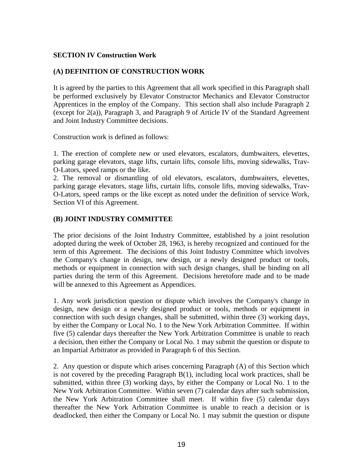### **SECTION IV Construction Work**

### **(A) DEFINITION OF CONSTRUCTION WORK**

It is agreed by the parties to this Agreement that all work specified in this Paragraph shall be performed exclusively by Elevator Constructor Mechanics and Elevator Constructor Apprentices in the employ of the Company. This section shall also include Paragraph 2 (except for 2(a)), Paragraph 3, and Paragraph 9 of Article IV of the Standard Agreement and Joint Industry Committee decisions.

Construction work is defined as follows:

1. The erection of complete new or used elevators, escalators, dumbwaiters, elevettes, parking garage elevators, stage lifts, curtain lifts, console lifts, moving sidewalks, Trav-O-Lators, speed ramps or the like.

2. The removal or dismantling of old elevators, escalators, dumbwaiters, elevettes, parking garage elevators, stage lifts, curtain lifts, console lifts, moving sidewalks, Trav-O-Lators, speed ramps or the like except as noted under the definition of service Work, Section VI of this Agreement.

### **(B) JOINT INDUSTRY COMMITTEE**

The prior decisions of the Joint Industry Committee, established by a joint resolution adopted during the week of October 28, 1963, is hereby recognized and continued for the term of this Agreement. The decisions of this Joint Industry Committee which involves the Company's change in design, new design, or a newly designed product or tools, methods or equipment in connection with such design changes, shall be binding on all parties during the term of this Agreement. Decisions heretofore made and to be made will be annexed to this Agreement as Appendices.

1. Any work jurisdiction question or dispute which involves the Company's change in design, new design or a newly designed product or tools, methods or equipment in connection with such design changes, shall be submitted, within three (3) working days, by either the Company or Local No. 1 to the New York Arbitration Committee. If within five (5) calendar days thereafter the New York Arbitration Committee is unable to reach a decision, then either the Company or Local No. 1 may submit the question or dispute to an Impartial Arbitrator as provided in Paragraph 6 of this Section.

2. Any question or dispute which arises concerning Paragraph (A) of this Section which is not covered by the preceding Paragraph B(1), including local work practices, shall be submitted, within three (3) working days, by either the Company or Local No. 1 to the New York Arbitration Committee. Within seven (7) calendar days after such submission, the New York Arbitration Committee shall meet. If within five (5) calendar days thereafter the New York Arbitration Committee is unable to reach a decision or is deadlocked, then either the Company or Local No. 1 may submit the question or dispute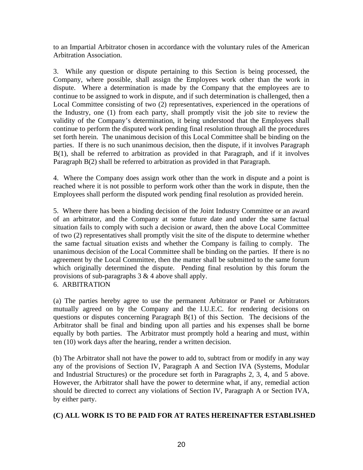to an Impartial Arbitrator chosen in accordance with the voluntary rules of the American Arbitration Association.

3. While any question or dispute pertaining to this Section is being processed, the Company, where possible, shall assign the Employees work other than the work in dispute. Where a determination is made by the Company that the employees are to continue to be assigned to work in dispute, and if such determination is challenged, then a Local Committee consisting of two (2) representatives, experienced in the operations of the Industry, one (1) from each party, shall promptly visit the job site to review the validity of the Company's determination, it being understood that the Employees shall continue to perform the disputed work pending final resolution through all the procedures set forth herein. The unanimous decision of this Local Committee shall be binding on the parties. If there is no such unanimous decision, then the dispute, if it involves Paragraph B(1), shall be referred to arbitration as provided in that Paragraph, and if it involves Paragraph B(2) shall be referred to arbitration as provided in that Paragraph.

4. Where the Company does assign work other than the work in dispute and a point is reached where it is not possible to perform work other than the work in dispute, then the Employees shall perform the disputed work pending final resolution as provided herein.

5. Where there has been a binding decision of the Joint Industry Committee or an award of an arbitrator, and the Company at some future date and under the same factual situation fails to comply with such a decision or award, then the above Local Committee of two (2) representatives shall promptly visit the site of the dispute to determine whether the same factual situation exists and whether the Company is failing to comply. The unanimous decision of the Local Committee shall be binding on the parties. If there is no agreement by the Local Committee, then the matter shall be submitted to the same forum which originally determined the dispute. Pending final resolution by this forum the provisions of sub-paragraphs  $3 \& 4$  above shall apply. 6. ARBITRATION

(a) The parties hereby agree to use the permanent Arbitrator or Panel or Arbitrators mutually agreed on by the Company and the I.U.E.C. for rendering decisions on questions or disputes concerning Paragraph B(1) of this Section. The decisions of the Arbitrator shall be final and binding upon all parties and his expenses shall be borne equally by both parties. The Arbitrator must promptly hold a hearing and must, within ten (10) work days after the hearing, render a written decision.

(b) The Arbitrator shall not have the power to add to, subtract from or modify in any way any of the provisions of Section IV, Paragraph A and Section IVA (Systems, Modular and Industrial Structures) or the procedure set forth in Paragraphs 2, 3, 4, and 5 above. However, the Arbitrator shall have the power to determine what, if any, remedial action should be directed to correct any violations of Section IV, Paragraph A or Section IVA, by either party.

### **(C) ALL WORK IS TO BE PAID FOR AT RATES HEREINAFTER ESTABLISHED**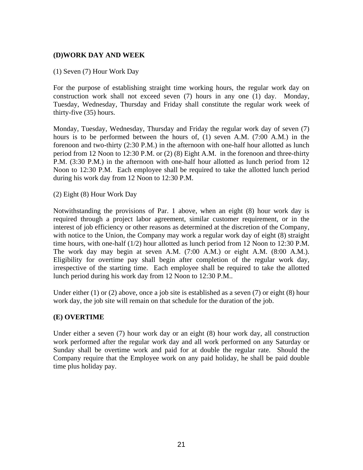### **(D)WORK DAY AND WEEK**

#### (1) Seven (7) Hour Work Day

For the purpose of establishing straight time working hours, the regular work day on construction work shall not exceed seven (7) hours in any one (1) day. Monday, Tuesday, Wednesday, Thursday and Friday shall constitute the regular work week of thirty-five (35) hours.

Monday, Tuesday, Wednesday, Thursday and Friday the regular work day of seven (7) hours is to be performed between the hours of, (1) seven A.M. (7:00 A.M.) in the forenoon and two-thirty (2:30 P.M.) in the afternoon with one-half hour allotted as lunch period from 12 Noon to 12:30 P.M. or (2) (8) Eight A.M. in the forenoon and three-thirty P.M. (3:30 P.M.) in the afternoon with one-half hour allotted as lunch period from 12 Noon to 12:30 P.M. Each employee shall be required to take the allotted lunch period during his work day from 12 Noon to 12:30 P.M.

(2) Eight (8) Hour Work Day

Notwithstanding the provisions of Par. 1 above, when an eight (8) hour work day is required through a project labor agreement, similar customer requirement, or in the interest of job efficiency or other reasons as determined at the discretion of the Company, with notice to the Union, the Company may work a regular work day of eight  $(8)$  straight time hours, with one-half (1/2) hour allotted as lunch period from 12 Noon to 12:30 P.M. The work day may begin at seven A.M. (7:00 A.M.) or eight A.M. (8:00 A.M.). Eligibility for overtime pay shall begin after completion of the regular work day, irrespective of the starting time. Each employee shall be required to take the allotted lunch period during his work day from 12 Noon to 12:30 P.M..

Under either  $(1)$  or  $(2)$  above, once a job site is established as a seven  $(7)$  or eight  $(8)$  hour work day, the job site will remain on that schedule for the duration of the job.

#### **(E) OVERTIME**

Under either a seven (7) hour work day or an eight (8) hour work day, all construction work performed after the regular work day and all work performed on any Saturday or Sunday shall be overtime work and paid for at double the regular rate. Should the Company require that the Employee work on any paid holiday, he shall be paid double time plus holiday pay.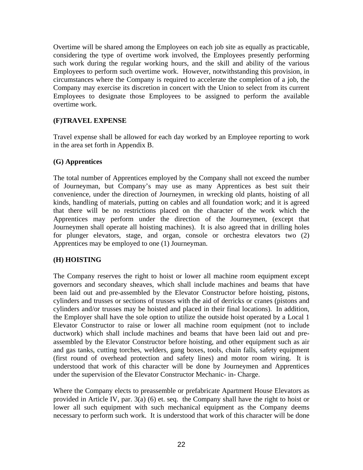Overtime will be shared among the Employees on each job site as equally as practicable, considering the type of overtime work involved, the Employees presently performing such work during the regular working hours, and the skill and ability of the various Employees to perform such overtime work. However, notwithstanding this provision, in circumstances where the Company is required to accelerate the completion of a job, the Company may exercise its discretion in concert with the Union to select from its current Employees to designate those Employees to be assigned to perform the available overtime work.

### **(F)TRAVEL EXPENSE**

Travel expense shall be allowed for each day worked by an Employee reporting to work in the area set forth in Appendix B.

### **(G) Apprentices**

The total number of Apprentices employed by the Company shall not exceed the number of Journeyman, but Company's may use as many Apprentices as best suit their convenience, under the direction of Journeymen, in wrecking old plants, hoisting of all kinds, handling of materials, putting on cables and all foundation work; and it is agreed that there will be no restrictions placed on the character of the work which the Apprentices may perform under the direction of the Journeymen, (except that Journeymen shall operate all hoisting machines). It is also agreed that in drilling holes for plunger elevators, stage, and organ, console or orchestra elevators two (2) Apprentices may be employed to one (1) Journeyman.

### **(H) HOISTING**

The Company reserves the right to hoist or lower all machine room equipment except governors and secondary sheaves, which shall include machines and beams that have been laid out and pre-assembled by the Elevator Constructor before hoisting, pistons, cylinders and trusses or sections of trusses with the aid of derricks or cranes (pistons and cylinders and/or trusses may be hoisted and placed in their final locations). In addition, the Employer shall have the sole option to utilize the outside hoist operated by a Local 1 Elevator Constructor to raise or lower all machine room equipment (not to include ductwork) which shall include machines and beams that have been laid out and preassembled by the Elevator Constructor before hoisting, and other equipment such as air and gas tanks, cutting torches, welders, gang boxes, tools, chain falls, safety equipment (first round of overhead protection and safety lines) and motor room wiring. It is understood that work of this character will be done by Journeymen and Apprentices under the supervision of the Elevator Constructor Mechanic- in- Charge.

Where the Company elects to preassemble or prefabricate Apartment House Elevators as provided in Article IV, par. 3(a) (6) et. seq. the Company shall have the right to hoist or lower all such equipment with such mechanical equipment as the Company deems necessary to perform such work. It is understood that work of this character will be done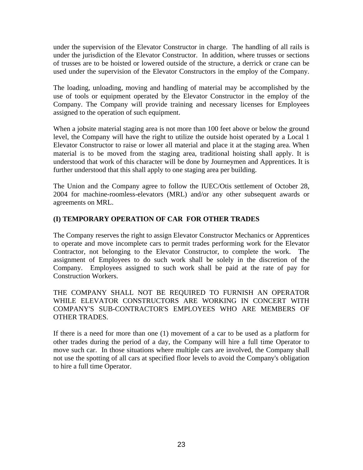under the supervision of the Elevator Constructor in charge. The handling of all rails is under the jurisdiction of the Elevator Constructor. In addition, where trusses or sections of trusses are to be hoisted or lowered outside of the structure, a derrick or crane can be used under the supervision of the Elevator Constructors in the employ of the Company.

The loading, unloading, moving and handling of material may be accomplished by the use of tools or equipment operated by the Elevator Constructor in the employ of the Company. The Company will provide training and necessary licenses for Employees assigned to the operation of such equipment.

When a jobsite material staging area is not more than 100 feet above or below the ground level, the Company will have the right to utilize the outside hoist operated by a Local 1 Elevator Constructor to raise or lower all material and place it at the staging area. When material is to be moved from the staging area, traditional hoisting shall apply. It is understood that work of this character will be done by Journeymen and Apprentices. It is further understood that this shall apply to one staging area per building.

The Union and the Company agree to follow the IUEC/Otis settlement of October 28, 2004 for machine-roomless-elevators (MRL) and/or any other subsequent awards or agreements on MRL.

# **(I) TEMPORARY OPERATION OF CAR FOR OTHER TRADES**

The Company reserves the right to assign Elevator Constructor Mechanics or Apprentices to operate and move incomplete cars to permit trades performing work for the Elevator Contractor, not belonging to the Elevator Constructor, to complete the work. The assignment of Employees to do such work shall be solely in the discretion of the Company. Employees assigned to such work shall be paid at the rate of pay for Construction Workers.

THE COMPANY SHALL NOT BE REQUIRED TO FURNISH AN OPERATOR WHILE ELEVATOR CONSTRUCTORS ARE WORKING IN CONCERT WITH COMPANY'S SUB-CONTRACTOR'S EMPLOYEES WHO ARE MEMBERS OF OTHER TRADES.

If there is a need for more than one (1) movement of a car to be used as a platform for other trades during the period of a day, the Company will hire a full time Operator to move such car. In those situations where multiple cars are involved, the Company shall not use the spotting of all cars at specified floor levels to avoid the Company's obligation to hire a full time Operator.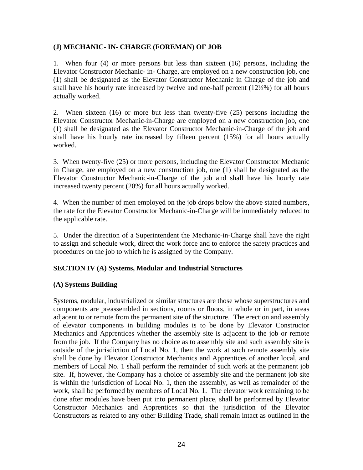### **(J) MECHANIC- IN- CHARGE (FOREMAN) OF JOB**

1. When four (4) or more persons but less than sixteen (16) persons, including the Elevator Constructor Mechanic- in- Charge, are employed on a new construction job, one (1) shall be designated as the Elevator Constructor Mechanic in Charge of the job and shall have his hourly rate increased by twelve and one-half percent (12½%) for all hours actually worked.

2. When sixteen (16) or more but less than twenty-five (25) persons including the Elevator Constructor Mechanic-in-Charge are employed on a new construction job, one (1) shall be designated as the Elevator Constructor Mechanic-in-Charge of the job and shall have his hourly rate increased by fifteen percent (15%) for all hours actually worked.

3. When twenty-five (25) or more persons, including the Elevator Constructor Mechanic in Charge, are employed on a new construction job, one (1) shall be designated as the Elevator Constructor Mechanic-in-Charge of the job and shall have his hourly rate increased twenty percent (20%) for all hours actually worked.

4. When the number of men employed on the job drops below the above stated numbers, the rate for the Elevator Constructor Mechanic-in-Charge will be immediately reduced to the applicable rate.

5. Under the direction of a Superintendent the Mechanic-in-Charge shall have the right to assign and schedule work, direct the work force and to enforce the safety practices and procedures on the job to which he is assigned by the Company.

#### **SECTION IV (A) Systems, Modular and Industrial Structures**

### **(A) Systems Building**

Systems, modular, industrialized or similar structures are those whose superstructures and components are preassembled in sections, rooms or floors, in whole or in part, in areas adjacent to or remote from the permanent site of the structure. The erection and assembly of elevator components in building modules is to be done by Elevator Constructor Mechanics and Apprentices whether the assembly site is adjacent to the job or remote from the job. If the Company has no choice as to assembly site and such assembly site is outside of the jurisdiction of Local No. 1, then the work at such remote assembly site shall be done by Elevator Constructor Mechanics and Apprentices of another local, and members of Local No. 1 shall perform the remainder of such work at the permanent job site. If, however, the Company has a choice of assembly site and the permanent job site is within the jurisdiction of Local No. 1, then the assembly, as well as remainder of the work, shall be performed by members of Local No. 1. The elevator work remaining to be done after modules have been put into permanent place, shall be performed by Elevator Constructor Mechanics and Apprentices so that the jurisdiction of the Elevator Constructors as related to any other Building Trade, shall remain intact as outlined in the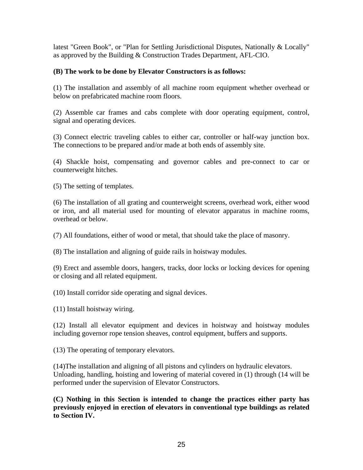latest "Green Book", or "Plan for Settling Jurisdictional Disputes, Nationally & Locally" as approved by the Building & Construction Trades Department, AFL-CIO.

### **(B) The work to be done by Elevator Constructors is as follows:**

(1) The installation and assembly of all machine room equipment whether overhead or below on prefabricated machine room floors.

(2) Assemble car frames and cabs complete with door operating equipment, control, signal and operating devices.

(3) Connect electric traveling cables to either car, controller or half-way junction box. The connections to be prepared and/or made at both ends of assembly site.

(4) Shackle hoist, compensating and governor cables and pre-connect to car or counterweight hitches.

(5) The setting of templates.

(6) The installation of all grating and counterweight screens, overhead work, either wood or iron, and all material used for mounting of elevator apparatus in machine rooms, overhead or below.

(7) All foundations, either of wood or metal, that should take the place of masonry.

(8) The installation and aligning of guide rails in hoistway modules.

(9) Erect and assemble doors, hangers, tracks, door locks or locking devices for opening or closing and all related equipment.

(10) Install corridor side operating and signal devices.

(11) Install hoistway wiring.

(12) Install all elevator equipment and devices in hoistway and hoistway modules including governor rope tension sheaves, control equipment, buffers and supports.

(13) The operating of temporary elevators.

(14)The installation and aligning of all pistons and cylinders on hydraulic elevators. Unloading, handling, hoisting and lowering of material covered in (1) through (14 will be performed under the supervision of Elevator Constructors.

**(C) Nothing in this Section is intended to change the practices either party has previously enjoyed in erection of elevators in conventional type buildings as related to Section IV.**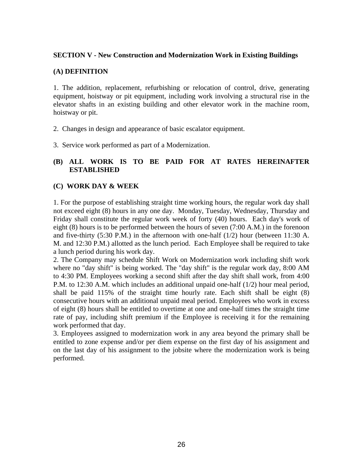### **SECTION V - New Construction and Modernization Work in Existing Buildings**

### **(A) DEFINITION**

1. The addition, replacement, refurbishing or relocation of control, drive, generating equipment, hoistway or pit equipment, including work involving a structural rise in the elevator shafts in an existing building and other elevator work in the machine room, hoistway or pit.

- 2. Changes in design and appearance of basic escalator equipment.
- 3. Service work performed as part of a Modernization.

### **(B) ALL WORK IS TO BE PAID FOR AT RATES HEREINAFTER ESTABLISHED**

### **(C) WORK DAY & WEEK**

1. For the purpose of establishing straight time working hours, the regular work day shall not exceed eight (8) hours in any one day. Monday, Tuesday, Wednesday, Thursday and Friday shall constitute the regular work week of forty (40) hours. Each day's work of eight (8) hours is to be performed between the hours of seven (7:00 A.M.) in the forenoon and five-thirty (5:30 P.M.) in the afternoon with one-half (1/2) hour (between 11:30 A. M. and 12:30 P.M.) allotted as the lunch period. Each Employee shall be required to take a lunch period during his work day.

2. The Company may schedule Shift Work on Modernization work including shift work where no "day shift" is being worked. The "day shift" is the regular work day, 8:00 AM to 4:30 PM. Employees working a second shift after the day shift shall work, from 4:00 P.M. to 12:30 A.M. which includes an additional unpaid one-half (1/2) hour meal period, shall be paid 115% of the straight time hourly rate. Each shift shall be eight (8) consecutive hours with an additional unpaid meal period. Employees who work in excess of eight (8) hours shall be entitled to overtime at one and one-half times the straight time rate of pay, including shift premium if the Employee is receiving it for the remaining work performed that day.

3. Employees assigned to modernization work in any area beyond the primary shall be entitled to zone expense and/or per diem expense on the first day of his assignment and on the last day of his assignment to the jobsite where the modernization work is being performed.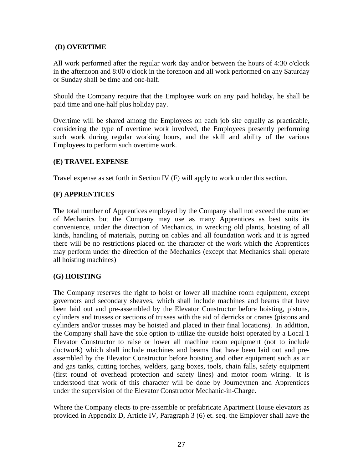### **(D) OVERTIME**

All work performed after the regular work day and/or between the hours of 4:30 o'clock in the afternoon and 8:00 o'clock in the forenoon and all work performed on any Saturday or Sunday shall be time and one-half.

Should the Company require that the Employee work on any paid holiday, he shall be paid time and one-half plus holiday pay.

Overtime will be shared among the Employees on each job site equally as practicable, considering the type of overtime work involved, the Employees presently performing such work during regular working hours, and the skill and ability of the various Employees to perform such overtime work.

### **(E) TRAVEL EXPENSE**

Travel expense as set forth in Section IV (F) will apply to work under this section.

### **(F) APPRENTICES**

The total number of Apprentices employed by the Company shall not exceed the number of Mechanics but the Company may use as many Apprentices as best suits its convenience, under the direction of Mechanics, in wrecking old plants, hoisting of all kinds, handling of materials, putting on cables and all foundation work and it is agreed there will be no restrictions placed on the character of the work which the Apprentices may perform under the direction of the Mechanics (except that Mechanics shall operate all hoisting machines)

### **(G) HOISTING**

The Company reserves the right to hoist or lower all machine room equipment, except governors and secondary sheaves, which shall include machines and beams that have been laid out and pre-assembled by the Elevator Constructor before hoisting, pistons, cylinders and trusses or sections of trusses with the aid of derricks or cranes (pistons and cylinders and/or trusses may be hoisted and placed in their final locations). In addition, the Company shall have the sole option to utilize the outside hoist operated by a Local 1 Elevator Constructor to raise or lower all machine room equipment (not to include ductwork) which shall include machines and beams that have been laid out and preassembled by the Elevator Constructor before hoisting and other equipment such as air and gas tanks, cutting torches, welders, gang boxes, tools, chain falls, safety equipment (first round of overhead protection and safety lines) and motor room wiring. It is understood that work of this character will be done by Journeymen and Apprentices under the supervision of the Elevator Constructor Mechanic-in-Charge.

Where the Company elects to pre-assemble or prefabricate Apartment House elevators as provided in Appendix D, Article IV, Paragraph 3 (6) et. seq. the Employer shall have the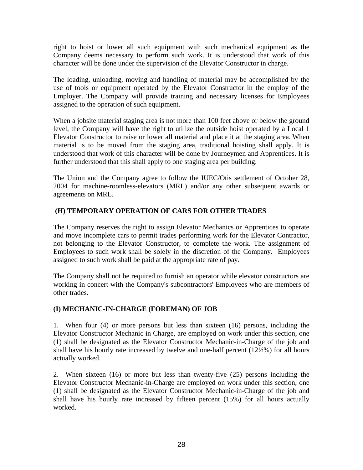right to hoist or lower all such equipment with such mechanical equipment as the Company deems necessary to perform such work. It is understood that work of this character will be done under the supervision of the Elevator Constructor in charge.

The loading, unloading, moving and handling of material may be accomplished by the use of tools or equipment operated by the Elevator Constructor in the employ of the Employer. The Company will provide training and necessary licenses for Employees assigned to the operation of such equipment.

When a jobsite material staging area is not more than 100 feet above or below the ground level, the Company will have the right to utilize the outside hoist operated by a Local 1 Elevator Constructor to raise or lower all material and place it at the staging area. When material is to be moved from the staging area, traditional hoisting shall apply. It is understood that work of this character will be done by Journeymen and Apprentices. It is further understood that this shall apply to one staging area per building.

The Union and the Company agree to follow the IUEC/Otis settlement of October 28, 2004 for machine-roomless-elevators (MRL) and/or any other subsequent awards or agreements on MRL.

# **(H) TEMPORARY OPERATION OF CARS FOR OTHER TRADES**

The Company reserves the right to assign Elevator Mechanics or Apprentices to operate and move incomplete cars to permit trades performing work for the Elevator Contractor, not belonging to the Elevator Constructor, to complete the work. The assignment of Employees to such work shall be solely in the discretion of the Company. Employees assigned to such work shall be paid at the appropriate rate of pay.

The Company shall not be required to furnish an operator while elevator constructors are working in concert with the Company's subcontractors' Employees who are members of other trades.

# **(I) MECHANIC-IN-CHARGE (FOREMAN) OF JOB**

1. When four (4) or more persons but less than sixteen (16) persons, including the Elevator Constructor Mechanic in Charge, are employed on work under this section, one (1) shall be designated as the Elevator Constructor Mechanic-in-Charge of the job and shall have his hourly rate increased by twelve and one-half percent (12½%) for all hours actually worked.

2. When sixteen (16) or more but less than twenty-five (25) persons including the Elevator Constructor Mechanic-in-Charge are employed on work under this section, one (1) shall be designated as the Elevator Constructor Mechanic-in-Charge of the job and shall have his hourly rate increased by fifteen percent (15%) for all hours actually worked.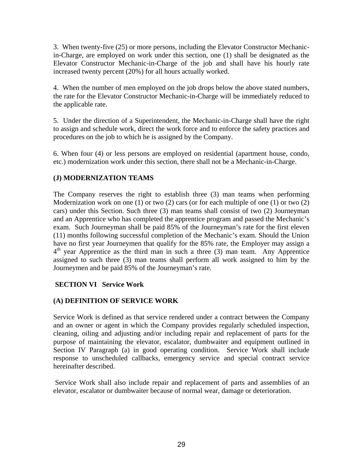3. When twenty-five (25) or more persons, including the Elevator Constructor Mechanicin-Charge, are employed on work under this section, one (1) shall be designated as the Elevator Constructor Mechanic-in-Charge of the job and shall have his hourly rate increased twenty percent (20%) for all hours actually worked.

4. When the number of men employed on the job drops below the above stated numbers, the rate for the Elevator Constructor Mechanic-in-Charge will be immediately reduced to the applicable rate.

5. Under the direction of a Superintendent, the Mechanic-in-Charge shall have the right to assign and schedule work, direct the work force and to enforce the safety practices and procedures on the job to which he is assigned by the Company.

6. When four (4) or less persons are employed on residential (apartment house, condo, etc.) modernization work under this section, there shall not be a Mechanic-in-Charge.

# **(J) MODERNIZATION TEAMS**

The Company reserves the right to establish three (3) man teams when performing Modernization work on one (1) or two (2) cars (or for each multiple of one (1) or two (2) cars) under this Section. Such three (3) man teams shall consist of two (2) Journeyman and an Apprentice who has completed the apprentice program and passed the Mechanic's exam. Such Journeyman shall be paid 85% of the Journeyman's rate for the first eleven (11) months following successful completion of the Mechanic's exam. Should the Union have no first year Journeymen that qualify for the 85% rate, the Employer may assign a  $4<sup>th</sup>$  year Apprentice as the third man in such a three (3) man team. Any Apprentice assigned to such three (3) man teams shall perform all work assigned to him by the Journeymen and be paid 85% of the Journeyman's rate.

### **SECTION VI Service Work**

### **(A) DEFINITION OF SERVICE WORK**

Service Work is defined as that service rendered under a contract between the Company and an owner or agent in which the Company provides regularly scheduled inspection, cleaning, oiling and adjusting and/or including repair and replacement of parts for the purpose of maintaining the elevator, escalator, dumbwaiter and equipment outlined in Section IV Paragraph (a) in good operating condition. Service Work shall include response to unscheduled callbacks, emergency service and special contract service hereinafter described.

 Service Work shall also include repair and replacement of parts and assemblies of an elevator, escalator or dumbwaiter because of normal wear, damage or deterioration.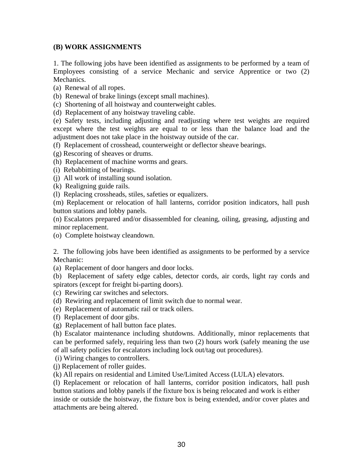### **(B) WORK ASSIGNMENTS**

1. The following jobs have been identified as assignments to be performed by a team of Employees consisting of a service Mechanic and service Apprentice or two (2) Mechanics.

- (a) Renewal of all ropes.
- (b) Renewal of brake linings (except small machines).
- (c) Shortening of all hoistway and counterweight cables.
- (d) Replacement of any hoistway traveling cable.

(e) Safety tests, including adjusting and readjusting where test weights are required except where the test weights are equal to or less than the balance load and the adjustment does not take place in the hoistway outside of the car.

- (f) Replacement of crosshead, counterweight or deflector sheave bearings.
- (g) Rescoring of sheaves or drums.
- (h) Replacement of machine worms and gears.
- (i) Rebabbitting of bearings.
- (j) All work of installing sound isolation.
- (k) Realigning guide rails.
- (l) Replacing crossheads, stiles, safeties or equalizers.

(m) Replacement or relocation of hall lanterns, corridor position indicators, hall push button stations and lobby panels.

(n) Escalators prepared and/or disassembled for cleaning, oiling, greasing, adjusting and minor replacement.

(o) Complete hoistway cleandown.

2. The following jobs have been identified as assignments to be performed by a service Mechanic:

(a) Replacement of door hangers and door locks.

(b) Replacement of safety edge cables, detector cords, air cords, light ray cords and spirators (except for freight bi-parting doors).

(c) Rewiring car switches and selectors.

- (d) Rewiring and replacement of limit switch due to normal wear.
- (e) Replacement of automatic rail or track oilers.
- (f) Replacement of door gibs.
- (g) Replacement of hall button face plates.

(h) Escalator maintenance including shutdowns. Additionally, minor replacements that can be performed safely, requiring less than two (2) hours work (safely meaning the use of all safety policies for escalators including lock out/tag out procedures).

(i) Wiring changes to controllers.

(j) Replacement of roller guides.

(k) All repairs on residential and Limited Use/Limited Access (LULA) elevators.

(l) Replacement or relocation of hall lanterns, corridor position indicators, hall push button stations and lobby panels if the fixture box is being relocated and work is either inside or outside the hoistway, the fixture box is being extended, and/or cover plates and attachments are being altered.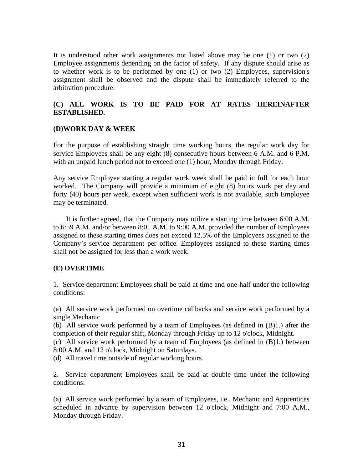It is understood other work assignments not listed above may be one (1) or two (2) Employee assignments depending on the factor of safety. If any dispute should arise as to whether work is to be performed by one (1) or two (2) Employees, supervision's assignment shall be observed and the dispute shall be immediately referred to the arbitration procedure.

### **(C) ALL WORK IS TO BE PAID FOR AT RATES HEREINAFTER ESTABLISHED***.*

### **(D)WORK DAY & WEEK**

For the purpose of establishing straight time working hours, the regular work day for service Employees shall be any eight (8) consecutive hours between 6 A.M. and 6 P.M. with an unpaid lunch period not to exceed one (1) hour, Monday through Friday.

Any service Employee starting a regular work week shall be paid in full for each hour worked. The Company will provide a minimum of eight (8) hours work per day and forty (40) hours per week, except when sufficient work is not available, such Employee may be terminated.

 It is further agreed, that the Company may utilize a starting time between 6:00 A.M. to 6:59 A.M. and/or between 8:01 A.M. to 9:00 A.M. provided the number of Employees assigned to these starting times does not exceed 12.5% of the Employees assigned to the Company's service department per office. Employees assigned to these starting times shall not be assigned for less than a work week.

#### **(E) OVERTIME**

1. Service department Employees shall be paid at time and one-half under the following conditions:

(a) All service work performed on overtime callbacks and service work performed by a single Mechanic.

(b) All service work performed by a team of Employees (as defined in (B)1.) after the completion of their regular shift, Monday through Friday up to 12 o'clock, Midnight.

(c) All service work performed by a team of Employees (as defined in (B)1.) between 8:00 A.M. and 12 o'clock, Midnight on Saturdays.

(d) All travel time outside of regular working hours*.* 

2. Service department Employees shall be paid at double time under the following conditions:

(a) All service work performed by a team of Employees, i.e., Mechanic and Apprentices scheduled in advance by supervision between 12 o'clock, Midnight and 7:00 A.M., Monday through Friday.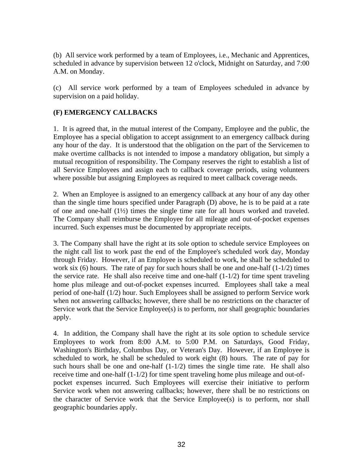(b) All service work performed by a team of Employees, i.e., Mechanic and Apprentices, scheduled in advance by supervision between 12 o'clock, Midnight on Saturday, and 7:00 A.M. on Monday.

(c) All service work performed by a team of Employees scheduled in advance by supervision on a paid holiday.

# **(F) EMERGENCY CALLBACKS**

1. It is agreed that, in the mutual interest of the Company, Employee and the public, the Employee has a special obligation to accept assignment to an emergency callback during any hour of the day. It is understood that the obligation on the part of the Servicemen to make overtime callbacks is not intended to impose a mandatory obligation, but simply a mutual recognition of responsibility. The Company reserves the right to establish a list of all Service Employees and assign each to callback coverage periods, using volunteers where possible but assigning Employees as required to meet callback coverage needs.

2. When an Employee is assigned to an emergency callback at any hour of any day other than the single time hours specified under Paragraph (D) above, he is to be paid at a rate of one and one-half (1½) times the single time rate for all hours worked and traveled. The Company shall reimburse the Employee for all mileage and out-of-pocket expenses incurred. Such expenses must be documented by appropriate receipts.

3. The Company shall have the right at its sole option to schedule service Employees on the night call list to work past the end of the Employee's scheduled work day, Monday through Friday. However, if an Employee is scheduled to work, he shall be scheduled to work six  $(6)$  hours. The rate of pay for such hours shall be one and one-half  $(1-1/2)$  times the service rate. He shall also receive time and one-half  $(1-1/2)$  for time spent traveling home plus mileage and out-of-pocket expenses incurred. Employees shall take a meal period of one-half (1/2) hour. Such Employees shall be assigned to perform Service work when not answering callbacks; however, there shall be no restrictions on the character of Service work that the Service Employee(s) is to perform, nor shall geographic boundaries apply.

4. In addition, the Company shall have the right at its sole option to schedule service Employees to work from 8:00 A.M. to 5:00 P.M. on Saturdays, Good Friday, Washington's Birthday, Columbus Day, or Veteran's Day. However, if an Employee is scheduled to work, he shall be scheduled to work eight (8) hours. The rate of pay for such hours shall be one and one-half  $(1-1/2)$  times the single time rate. He shall also receive time and one-half (1-1/2) for time spent traveling home plus mileage and out-ofpocket expenses incurred. Such Employees will exercise their initiative to perform Service work when not answering callbacks; however, there shall be no restrictions on the character of Service work that the Service Employee(s) is to perform, nor shall geographic boundaries apply.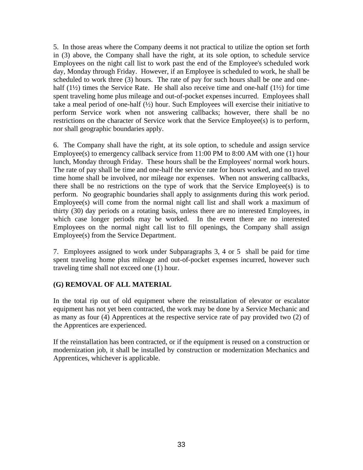5. In those areas where the Company deems it not practical to utilize the option set forth in (3) above, the Company shall have the right, at its sole option, to schedule service Employees on the night call list to work past the end of the Employee's scheduled work day, Monday through Friday. However, if an Employee is scheduled to work, he shall be scheduled to work three (3) hours. The rate of pay for such hours shall be one and onehalf (1<sup>1/2</sup>) times the Service Rate. He shall also receive time and one-half (1<sup>1/2</sup>) for time spent traveling home plus mileage and out-of-pocket expenses incurred. Employees shall take a meal period of one-half  $(\frac{1}{2})$  hour. Such Employees will exercise their initiative to perform Service work when not answering callbacks; however, there shall be no restrictions on the character of Service work that the Service Employee(s) is to perform, nor shall geographic boundaries apply.

6. The Company shall have the right, at its sole option, to schedule and assign service Employee(s) to emergency callback service from 11:00 PM to 8:00 AM with one (1) hour lunch, Monday through Friday. These hours shall be the Employees' normal work hours. The rate of pay shall be time and one-half the service rate for hours worked, and no travel time home shall be involved, nor mileage nor expenses. When not answering callbacks, there shall be no restrictions on the type of work that the Service Employee(s) is to perform. No geographic boundaries shall apply to assignments during this work period. Employee(s) will come from the normal night call list and shall work a maximum of thirty (30) day periods on a rotating basis, unless there are no interested Employees, in which case longer periods may be worked. In the event there are no interested Employees on the normal night call list to fill openings, the Company shall assign Employee(s) from the Service Department.

7. Employees assigned to work under Subparagraphs 3, 4 or 5 shall be paid for time spent traveling home plus mileage and out-of-pocket expenses incurred, however such traveling time shall not exceed one (1) hour.

### **(G) REMOVAL OF ALL MATERIAL**

In the total rip out of old equipment where the reinstallation of elevator or escalator equipment has not yet been contracted, the work may be done by a Service Mechanic and as many as four (4) Apprentices at the respective service rate of pay provided two (2) of the Apprentices are experienced.

If the reinstallation has been contracted, or if the equipment is reused on a construction or modernization job, it shall be installed by construction or modernization Mechanics and Apprentices, whichever is applicable.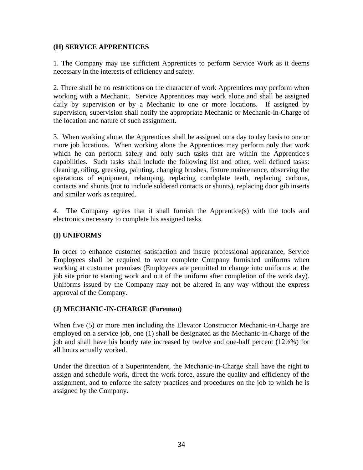### **(H) SERVICE APPRENTICES**

1. The Company may use sufficient Apprentices to perform Service Work as it deems necessary in the interests of efficiency and safety.

2. There shall be no restrictions on the character of work Apprentices may perform when working with a Mechanic. Service Apprentices may work alone and shall be assigned daily by supervision or by a Mechanic to one or more locations. If assigned by supervision, supervision shall notify the appropriate Mechanic or Mechanic-in-Charge of the location and nature of such assignment.

3. When working alone, the Apprentices shall be assigned on a day to day basis to one or more job locations. When working alone the Apprentices may perform only that work which he can perform safely and only such tasks that are within the Apprentice's capabilities. Such tasks shall include the following list and other, well defined tasks: cleaning, oiling, greasing, painting, changing brushes, fixture maintenance, observing the operations of equipment, relamping, replacing combplate teeth, replacing carbons, contacts and shunts (not to include soldered contacts or shunts), replacing door gib inserts and similar work as required.

4. The Company agrees that it shall furnish the Apprentice(s) with the tools and electronics necessary to complete his assigned tasks.

### **(I) UNIFORMS**

In order to enhance customer satisfaction and insure professional appearance, Service Employees shall be required to wear complete Company furnished uniforms when working at customer premises (Employees are permitted to change into uniforms at the job site prior to starting work and out of the uniform after completion of the work day). Uniforms issued by the Company may not be altered in any way without the express approval of the Company.

#### **(J) MECHANIC-IN-CHARGE (Foreman)**

When five (5) or more men including the Elevator Constructor Mechanic-in-Charge are employed on a service job, one (1) shall be designated as the Mechanic-in-Charge of the job and shall have his hourly rate increased by twelve and one-half percent (12½%) for all hours actually worked.

Under the direction of a Superintendent, the Mechanic-in-Charge shall have the right to assign and schedule work, direct the work force, assure the quality and efficiency of the assignment, and to enforce the safety practices and procedures on the job to which he is assigned by the Company.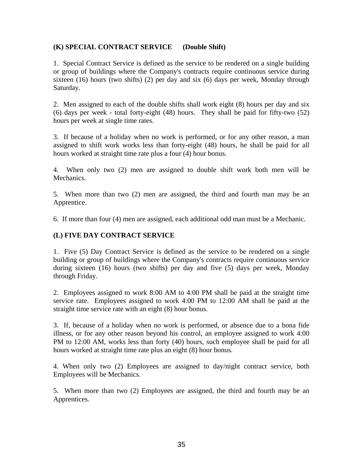### **(K) SPECIAL CONTRACT SERVICE (Double Shift)**

1. Special Contract Service is defined as the service to be rendered on a single building or group of buildings where the Company's contracts require continuous service during sixteen (16) hours (two shifts) (2) per day and six (6) days per week, Monday through Saturday.

2. Men assigned to each of the double shifts shall work eight (8) hours per day and six (6) days per week - total forty-eight (48) hours. They shall be paid for fifty-two (52) hours per week at single time rates.

3. If because of a holiday when no work is performed, or for any other reason, a man assigned to shift work works less than forty-eight (48) hours, he shall be paid for all hours worked at straight time rate plus a four (4) hour bonus.

4. When only two (2) men are assigned to double shift work both men will be Mechanics.

5. When more than two (2) men are assigned, the third and fourth man may be an Apprentice.

6. If more than four (4) men are assigned, each additional odd man must be a Mechanic.

### **(L) FIVE DAY CONTRACT SERVICE**

1. Five (5) Day Contract Service is defined as the service to be rendered on a single building or group of buildings where the Company's contracts require continuous service during sixteen (16) hours (two shifts) per day and five (5) days per week, Monday through Friday.

2. Employees assigned to work 8:00 AM to 4:00 PM shall be paid at the straight time service rate. Employees assigned to work 4:00 PM to 12:00 AM shall be paid at the straight time service rate with an eight (8) hour bonus.

3. If, because of a holiday when no work is performed, or absence due to a bona fide illness, or for any other reason beyond his control, an employee assigned to work 4:00 PM to 12:00 AM, works less than forty (40) hours, such employee shall be paid for all hours worked at straight time rate plus an eight (8) hour bonus.

4. When only two (2) Employees are assigned to day/night contract service, both Employees will be Mechanics.

5. When more than two (2) Employees are assigned, the third and fourth may be an Apprentices.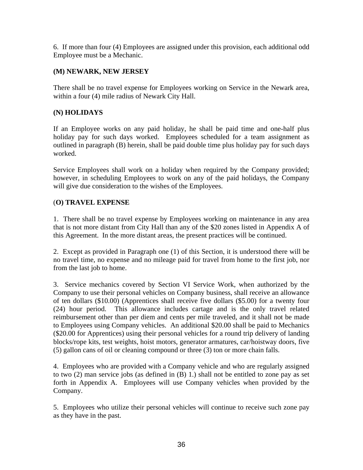6. If more than four (4) Employees are assigned under this provision, each additional odd Employee must be a Mechanic.

# **(M) NEWARK, NEW JERSEY**

There shall be no travel expense for Employees working on Service in the Newark area, within a four (4) mile radius of Newark City Hall.

# **(N) HOLIDAYS**

If an Employee works on any paid holiday, he shall be paid time and one-half plus holiday pay for such days worked. Employees scheduled for a team assignment as outlined in paragraph (B) herein, shall be paid double time plus holiday pay for such days worked.

Service Employees shall work on a holiday when required by the Company provided; however, in scheduling Employees to work on any of the paid holidays, the Company will give due consideration to the wishes of the Employees.

# (**O) TRAVEL EXPENSE**

1. There shall be no travel expense by Employees working on maintenance in any area that is not more distant from City Hall than any of the \$20 zones listed in Appendix A of this Agreement. In the more distant areas, the present practices will be continued.

2. Except as provided in Paragraph one (1) of this Section, it is understood there will be no travel time, no expense and no mileage paid for travel from home to the first job, nor from the last job to home.

3. Service mechanics covered by Section VI Service Work, when authorized by the Company to use their personal vehicles on Company business, shall receive an allowance of ten dollars (\$10.00) (Apprentices shall receive five dollars (\$5.00) for a twenty four (24) hour period. This allowance includes cartage and is the only travel related reimbursement other than per diem and cents per mile traveled, and it shall not be made to Employees using Company vehicles. An additional \$20.00 shall be paid to Mechanics (\$20.00 for Apprentices) using their personal vehicles for a round trip delivery of landing blocks/rope kits, test weights, hoist motors, generator armatures, car/hoistway doors, five (5) gallon cans of oil or cleaning compound or three (3) ton or more chain falls.

4. Employees who are provided with a Company vehicle and who are regularly assigned to two (2) man service jobs (as defined in (B) 1.) shall not be entitled to zone pay as set forth in Appendix A. Employees will use Company vehicles when provided by the Company.

5. Employees who utilize their personal vehicles will continue to receive such zone pay as they have in the past.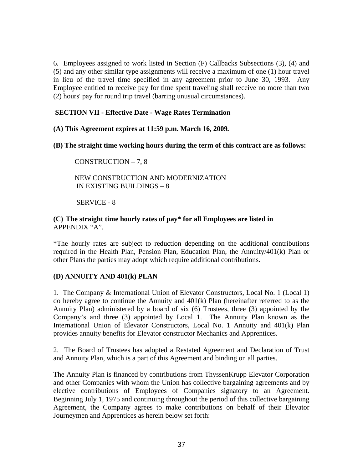6*.* Employees assigned to work listed in Section (F) Callbacks Subsections (3), (4) and (5) and any other similar type assignments will receive a maximum of one (1) hour travel in lieu of the travel time specified in any agreement prior to June 30, 1993. Any Employee entitled to receive pay for time spent traveling shall receive no more than two (2) hours' pay for round trip travel (barring unusual circumstances).

# **SECTION VII - Effective Date - Wage Rates Termination**

**(A) This Agreement expires at 11:59 p.m. March 16, 2009***.*

**(B) The straight time working hours during the term of this contract are as follows:** 

# CONSTRUCTION – 7, 8

# NEW CONSTRUCTION AND MODERNIZATION IN EXISTING BUILDINGS – 8

SERVICE - 8

# **(C) The straight time hourly rates of pay\* for all Employees are listed in**  APPENDIX "A".

\*The hourly rates are subject to reduction depending on the additional contributions required in the Health Plan, Pension Plan, Education Plan, the Annuity/401(k) Plan or other Plans the parties may adopt which require additional contributions.

# **(D) ANNUITY AND 401(k) PLAN**

1. The Company & International Union of Elevator Constructors, Local No. 1 (Local 1) do hereby agree to continue the Annuity and 401(k) Plan (hereinafter referred to as the Annuity Plan) administered by a board of six (6) Trustees, three (3) appointed by the Company's and three (3) appointed by Local 1. The Annuity Plan known as the International Union of Elevator Constructors, Local No. 1 Annuity and 401(k) Plan provides annuity benefits for Elevator constructor Mechanics and Apprentices.

2. The Board of Trustees has adopted a Restated Agreement and Declaration of Trust and Annuity Plan, which is a part of this Agreement and binding on all parties.

The Annuity Plan is financed by contributions from ThyssenKrupp Elevator Corporation and other Companies with whom the Union has collective bargaining agreements and by elective contributions of Employees of Companies signatory to an Agreement. Beginning July 1, 1975 and continuing throughout the period of this collective bargaining Agreement, the Company agrees to make contributions on behalf of their Elevator Journeymen and Apprentices as herein below set forth: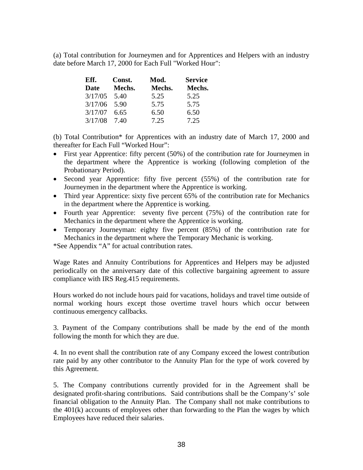(a) Total contribution for Journeymen and for Apprentices and Helpers with an industry date before March 17, 2000 for Each Full "Worked Hour":

| Eff.<br>Const. |        | Mod.   | <b>Service</b> |  |  |
|----------------|--------|--------|----------------|--|--|
| Date           | Mechs. | Mechs. | Mechs.         |  |  |
| 3/17/05        | 5.40   | 5.25   | 5.25           |  |  |
| 3/17/06        | - 5.90 | 5.75   | 5.75           |  |  |
| 3/17/07        | 6.65   | 6.50   | 6.50           |  |  |
| 3/17/08        | 7.40   | 7.25   | 7.25           |  |  |

(b) Total Contribution\* for Apprentices with an industry date of March 17, 2000 and thereafter for Each Full "Worked Hour":

- First year Apprentice: fifty percent (50%) of the contribution rate for Journeymen in the department where the Apprentice is working (following completion of the Probationary Period).
- Second year Apprentice: fifty five percent (55%) of the contribution rate for Journeymen in the department where the Apprentice is working.
- Third year Apprentice: sixty five percent 65% of the contribution rate for Mechanics in the department where the Apprentice is working.
- Fourth year Apprentice: seventy five percent (75%) of the contribution rate for Mechanics in the department where the Apprentice is working.
- Temporary Journeyman: eighty five percent (85%) of the contribution rate for Mechanics in the department where the Temporary Mechanic is working.

\*See Appendix "A" for actual contribution rates.

Wage Rates and Annuity Contributions for Apprentices and Helpers may be adjusted periodically on the anniversary date of this collective bargaining agreement to assure compliance with IRS Reg.415 requirements.

Hours worked do not include hours paid for vacations, holidays and travel time outside of normal working hours except those overtime travel hours which occur between continuous emergency callbacks.

3. Payment of the Company contributions shall be made by the end of the month following the month for which they are due.

4. In no event shall the contribution rate of any Company exceed the lowest contribution rate paid by any other contributor to the Annuity Plan for the type of work covered by this Agreement.

5. The Company contributions currently provided for in the Agreement shall be designated profit-sharing contributions. Said contributions shall be the Company's' sole financial obligation to the Annuity Plan. The Company shall not make contributions to the 401(k) accounts of employees other than forwarding to the Plan the wages by which Employees have reduced their salaries.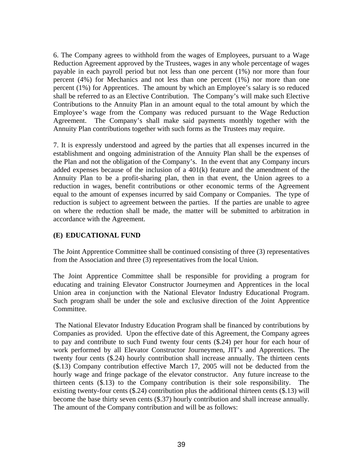6. The Company agrees to withhold from the wages of Employees, pursuant to a Wage Reduction Agreement approved by the Trustees, wages in any whole percentage of wages payable in each payroll period but not less than one percent (1%) nor more than four percent (4%) for Mechanics and not less than one percent (1%) nor more than one percent (1%) for Apprentices. The amount by which an Employee's salary is so reduced shall be referred to as an Elective Contribution. The Company's will make such Elective Contributions to the Annuity Plan in an amount equal to the total amount by which the Employee's wage from the Company was reduced pursuant to the Wage Reduction Agreement. The Company's shall make said payments monthly together with the Annuity Plan contributions together with such forms as the Trustees may require.

7. It is expressly understood and agreed by the parties that all expenses incurred in the establishment and ongoing administration of the Annuity Plan shall be the expenses of the Plan and not the obligation of the Company's. In the event that any Company incurs added expenses because of the inclusion of a 401(k) feature and the amendment of the Annuity Plan to be a profit-sharing plan, then in that event, the Union agrees to a reduction in wages, benefit contributions or other economic terms of the Agreement equal to the amount of expenses incurred by said Company or Companies. The type of reduction is subject to agreement between the parties. If the parties are unable to agree on where the reduction shall be made, the matter will be submitted to arbitration in accordance with the Agreement.

# **(E) EDUCATIONAL FUND**

The Joint Apprentice Committee shall be continued consisting of three (3) representatives from the Association and three (3) representatives from the local Union.

The Joint Apprentice Committee shall be responsible for providing a program for educating and training Elevator Constructor Journeymen and Apprentices in the local Union area in conjunction with the National Elevator Industry Educational Program. Such program shall be under the sole and exclusive direction of the Joint Apprentice Committee.

 The National Elevator Industry Education Program shall be financed by contributions by Companies as provided. Upon the effective date of this Agreement, the Company agrees to pay and contribute to such Fund twenty four cents (\$.24) per hour for each hour of work performed by all Elevator Constructor Journeymen, JIT's and Apprentices. The twenty four cents (\$.24) hourly contribution shall increase annually. The thirteen cents (\$.13) Company contribution effective March 17, 2005 will not be deducted from the hourly wage and fringe package of the elevator constructor. Any future increase to the thirteen cents (\$.13) to the Company contribution is their sole responsibility. The existing twenty-four cents (\$.24) contribution plus the additional thirteen cents (\$.13) will become the base thirty seven cents (\$.37) hourly contribution and shall increase annually. The amount of the Company contribution and will be as follows: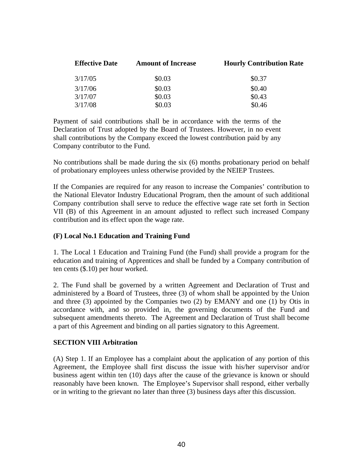| <b>Effective Date</b> | <b>Amount of Increase</b> | <b>Hourly Contribution Rate</b> |  |  |  |
|-----------------------|---------------------------|---------------------------------|--|--|--|
| 3/17/05               | \$0.03                    | \$0.37                          |  |  |  |
| 3/17/06               | \$0.03                    | \$0.40                          |  |  |  |
| 3/17/07               | \$0.03                    | \$0.43                          |  |  |  |
| 3/17/08               | \$0.03                    | \$0.46                          |  |  |  |

Payment of said contributions shall be in accordance with the terms of the Declaration of Trust adopted by the Board of Trustees. However, in no event shall contributions by the Company exceed the lowest contribution paid by any Company contributor to the Fund.

No contributions shall be made during the six (6) months probationary period on behalf of probationary employees unless otherwise provided by the NEIEP Trustees.

If the Companies are required for any reason to increase the Companies' contribution to the National Elevator Industry Educational Program, then the amount of such additional Company contribution shall serve to reduce the effective wage rate set forth in Section VII (B) of this Agreement in an amount adjusted to reflect such increased Company contribution and its effect upon the wage rate.

## **(F) Local No.1 Education and Training Fund**

1. The Local 1 Education and Training Fund (the Fund) shall provide a program for the education and training of Apprentices and shall be funded by a Company contribution of ten cents (\$.10) per hour worked.

2. The Fund shall be governed by a written Agreement and Declaration of Trust and administered by a Board of Trustees, three (3) of whom shall be appointed by the Union and three (3) appointed by the Companies two (2) by EMANY and one (1) by Otis in accordance with, and so provided in, the governing documents of the Fund and subsequent amendments thereto. The Agreement and Declaration of Trust shall become a part of this Agreement and binding on all parties signatory to this Agreement.

## **SECTION VIII Arbitration**

(A) Step 1. If an Employee has a complaint about the application of any portion of this Agreement, the Employee shall first discuss the issue with his/her supervisor and/or business agent within ten (10) days after the cause of the grievance is known or should reasonably have been known. The Employee's Supervisor shall respond, either verbally or in writing to the grievant no later than three (3) business days after this discussion.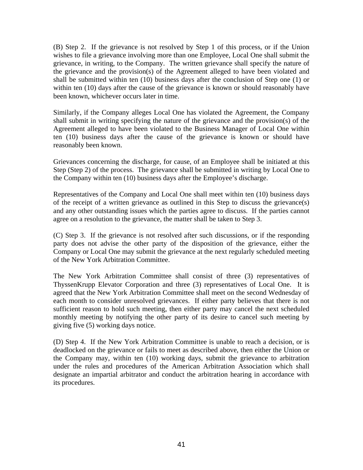(B) Step 2. If the grievance is not resolved by Step 1 of this process, or if the Union wishes to file a grievance involving more than one Employee, Local One shall submit the grievance, in writing, to the Company. The written grievance shall specify the nature of the grievance and the provision(s) of the Agreement alleged to have been violated and shall be submitted within ten (10) business days after the conclusion of Step one (1) or within ten (10) days after the cause of the grievance is known or should reasonably have been known, whichever occurs later in time.

Similarly, if the Company alleges Local One has violated the Agreement, the Company shall submit in writing specifying the nature of the grievance and the provision(s) of the Agreement alleged to have been violated to the Business Manager of Local One within ten (10) business days after the cause of the grievance is known or should have reasonably been known.

Grievances concerning the discharge, for cause, of an Employee shall be initiated at this Step (Step 2) of the process. The grievance shall be submitted in writing by Local One to the Company within ten (10) business days after the Employee's discharge.

Representatives of the Company and Local One shall meet within ten (10) business days of the receipt of a written grievance as outlined in this Step to discuss the grievance(s) and any other outstanding issues which the parties agree to discuss. If the parties cannot agree on a resolution to the grievance, the matter shall be taken to Step 3.

(C) Step 3. If the grievance is not resolved after such discussions, or if the responding party does not advise the other party of the disposition of the grievance, either the Company or Local One may submit the grievance at the next regularly scheduled meeting of the New York Arbitration Committee.

The New York Arbitration Committee shall consist of three (3) representatives of ThyssenKrupp Elevator Corporation and three (3) representatives of Local One. It is agreed that the New York Arbitration Committee shall meet on the second Wednesday of each month to consider unresolved grievances. If either party believes that there is not sufficient reason to hold such meeting, then either party may cancel the next scheduled monthly meeting by notifying the other party of its desire to cancel such meeting by giving five (5) working days notice.

(D) Step 4. If the New York Arbitration Committee is unable to reach a decision, or is deadlocked on the grievance or fails to meet as described above, then either the Union or the Company may, within ten (10) working days, submit the grievance to arbitration under the rules and procedures of the American Arbitration Association which shall designate an impartial arbitrator and conduct the arbitration hearing in accordance with its procedures.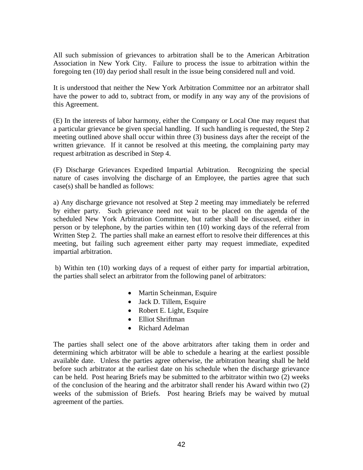All such submission of grievances to arbitration shall be to the American Arbitration Association in New York City. Failure to process the issue to arbitration within the foregoing ten (10) day period shall result in the issue being considered null and void.

It is understood that neither the New York Arbitration Committee nor an arbitrator shall have the power to add to, subtract from, or modify in any way any of the provisions of this Agreement.

(E) In the interests of labor harmony, either the Company or Local One may request that a particular grievance be given special handling. If such handling is requested, the Step 2 meeting outlined above shall occur within three (3) business days after the receipt of the written grievance. If it cannot be resolved at this meeting, the complaining party may request arbitration as described in Step 4.

(F) Discharge Grievances Expedited Impartial Arbitration. Recognizing the special nature of cases involving the discharge of an Employee, the parties agree that such case(s) shall be handled as follows:

a) Any discharge grievance not resolved at Step 2 meeting may immediately be referred by either party. Such grievance need not wait to be placed on the agenda of the scheduled New York Arbitration Committee, but rather shall be discussed, either in person or by telephone, by the parties within ten (10) working days of the referral from Written Step 2. The parties shall make an earnest effort to resolve their differences at this meeting, but failing such agreement either party may request immediate, expedited impartial arbitration.

 b) Within ten (10) working days of a request of either party for impartial arbitration, the parties shall select an arbitrator from the following panel of arbitrators:

- Martin Scheinman, Esquire
- Jack D. Tillem, Esquire
- Robert E. Light, Esquire
- Elliot Shriftman
- Richard Adelman

The parties shall select one of the above arbitrators after taking them in order and determining which arbitrator will be able to schedule a hearing at the earliest possible available date. Unless the parties agree otherwise, the arbitration hearing shall be held before such arbitrator at the earliest date on his schedule when the discharge grievance can be held. Post hearing Briefs may be submitted to the arbitrator within two (2) weeks of the conclusion of the hearing and the arbitrator shall render his Award within two (2) weeks of the submission of Briefs. Post hearing Briefs may be waived by mutual agreement of the parties.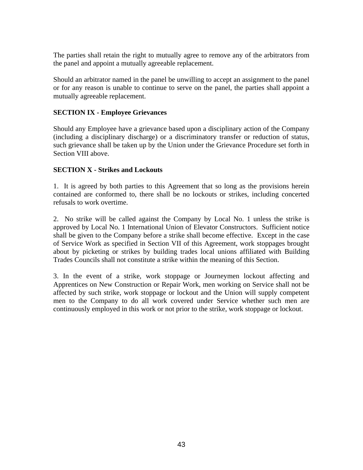The parties shall retain the right to mutually agree to remove any of the arbitrators from the panel and appoint a mutually agreeable replacement.

Should an arbitrator named in the panel be unwilling to accept an assignment to the panel or for any reason is unable to continue to serve on the panel, the parties shall appoint a mutually agreeable replacement.

# **SECTION IX - Employee Grievances**

Should any Employee have a grievance based upon a disciplinary action of the Company (including a disciplinary discharge) or a discriminatory transfer or reduction of status, such grievance shall be taken up by the Union under the Grievance Procedure set forth in Section VIII above.

# **SECTION X - Strikes and Lockouts**

1. It is agreed by both parties to this Agreement that so long as the provisions herein contained are conformed to, there shall be no lockouts or strikes, including concerted refusals to work overtime.

2. No strike will be called against the Company by Local No. 1 unless the strike is approved by Local No. 1 International Union of Elevator Constructors. Sufficient notice shall be given to the Company before a strike shall become effective. Except in the case of Service Work as specified in Section VII of this Agreement, work stoppages brought about by picketing or strikes by building trades local unions affiliated with Building Trades Councils shall not constitute a strike within the meaning of this Section.

3. In the event of a strike, work stoppage or Journeymen lockout affecting and Apprentices on New Construction or Repair Work, men working on Service shall not be affected by such strike, work stoppage or lockout and the Union will supply competent men to the Company to do all work covered under Service whether such men are continuously employed in this work or not prior to the strike, work stoppage or lockout.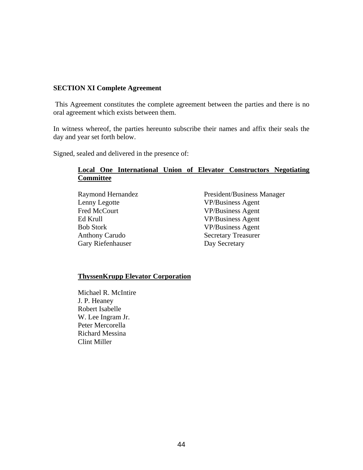## **SECTION XI Complete Agreement**

 This Agreement constitutes the complete agreement between the parties and there is no oral agreement which exists between them.

In witness whereof, the parties hereunto subscribe their names and affix their seals the day and year set forth below.

Signed, sealed and delivered in the presence of:

# **Local One International Union of Elevator Constructors Negotiating Committee**

| Raymond Hernandez     | President/Business Manager |  |  |  |
|-----------------------|----------------------------|--|--|--|
| Lenny Legotte         | <b>VP/Business Agent</b>   |  |  |  |
| Fred McCourt          | <b>VP/Business Agent</b>   |  |  |  |
| Ed Krull              | <b>VP/Business Agent</b>   |  |  |  |
| <b>Bob Stork</b>      | <b>VP/Business Agent</b>   |  |  |  |
| <b>Anthony Carudo</b> | <b>Secretary Treasurer</b> |  |  |  |
| Gary Riefenhauser     | Day Secretary              |  |  |  |

# **ThyssenKrupp Elevator Corporation**

Michael R. McIntire J. P. Heaney Robert Isabelle W. Lee Ingram Jr. Peter Mercorella Richard Messina Clint Miller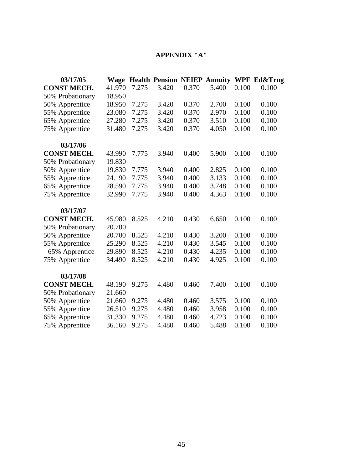# **APPENDIX "A"**

| 03/17/05           | <b>Wage</b> |       |       |       | <b>Health Pension NEIEP Annuity</b> |       | <b>WPF Ed&amp;Trng</b> |
|--------------------|-------------|-------|-------|-------|-------------------------------------|-------|------------------------|
| <b>CONST MECH.</b> | 41.970      | 7.275 | 3.420 | 0.370 | 5.400                               | 0.100 | 0.100                  |
| 50% Probationary   | 18.950      |       |       |       |                                     |       |                        |
| 50% Apprentice     | 18.950      | 7.275 | 3.420 | 0.370 | 2.700                               | 0.100 | 0.100                  |
| 55% Apprentice     | 23.080      | 7.275 | 3.420 | 0.370 | 2.970                               | 0.100 | 0.100                  |
| 65% Apprentice     | 27.280      | 7.275 | 3.420 | 0.370 | 3.510                               | 0.100 | 0.100                  |
| 75% Apprentice     | 31.480      | 7.275 | 3.420 | 0.370 | 4.050                               | 0.100 | 0.100                  |
| 03/17/06           |             |       |       |       |                                     |       |                        |
| <b>CONST MECH.</b> | 43.990      | 7.775 | 3.940 | 0.400 | 5.900                               | 0.100 | 0.100                  |
| 50% Probationary   | 19.830      |       |       |       |                                     |       |                        |
| 50% Apprentice     | 19.830      | 7.775 | 3.940 | 0.400 | 2.825                               | 0.100 | 0.100                  |
| 55% Apprentice     | 24.190      | 7.775 | 3.940 | 0.400 | 3.133                               | 0.100 | 0.100                  |
| 65% Apprentice     | 28.590      | 7.775 | 3.940 | 0.400 | 3.748                               | 0.100 | 0.100                  |
| 75% Apprentice     | 32.990      | 7.775 | 3.940 | 0.400 | 4.363                               | 0.100 | 0.100                  |
| 03/17/07           |             |       |       |       |                                     |       |                        |
| <b>CONST MECH.</b> | 45.980      | 8.525 | 4.210 | 0.430 | 6.650                               | 0.100 | 0.100                  |
| 50% Probationary   | 20.700      |       |       |       |                                     |       |                        |
| 50% Apprentice     | 20.700      | 8.525 | 4.210 | 0.430 | 3.200                               | 0.100 | 0.100                  |
| 55% Apprentice     | 25.290      | 8.525 | 4.210 | 0.430 | 3.545                               | 0.100 | 0.100                  |
| 65% Apprentice     | 29.890      | 8.525 | 4.210 | 0.430 | 4.235                               | 0.100 | 0.100                  |
| 75% Apprentice     | 34.490      | 8.525 | 4.210 | 0.430 | 4.925                               | 0.100 | 0.100                  |
| 03/17/08           |             |       |       |       |                                     |       |                        |
| <b>CONST MECH.</b> | 48.190      | 9.275 | 4.480 | 0.460 | 7.400                               | 0.100 | 0.100                  |
| 50% Probationary   | 21.660      |       |       |       |                                     |       |                        |
| 50% Apprentice     | 21.660      | 9.275 | 4.480 | 0.460 | 3.575                               | 0.100 | 0.100                  |
| 55% Apprentice     | 26.510      | 9.275 | 4.480 | 0.460 | 3.958                               | 0.100 | 0.100                  |
| 65% Apprentice     | 31.330      | 9.275 | 4.480 | 0.460 | 4.723                               | 0.100 | 0.100                  |
| 75% Apprentice     | 36.160      | 9.275 | 4.480 | 0.460 | 5.488                               | 0.100 | 0.100                  |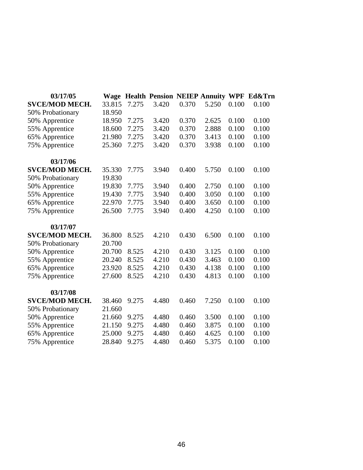| 03/17/05              | Wage   |       | <b>Health Pension NEIEP Annuity WPF</b> |       |       |       | Ed&Trn |
|-----------------------|--------|-------|-----------------------------------------|-------|-------|-------|--------|
| <b>SVCE/MOD MECH.</b> | 33.815 | 7.275 | 3.420                                   | 0.370 | 5.250 | 0.100 | 0.100  |
| 50% Probationary      | 18.950 |       |                                         |       |       |       |        |
| 50% Apprentice        | 18.950 | 7.275 | 3.420                                   | 0.370 | 2.625 | 0.100 | 0.100  |
| 55% Apprentice        | 18.600 | 7.275 | 3.420                                   | 0.370 | 2.888 | 0.100 | 0.100  |
| 65% Apprentice        | 21.980 | 7.275 | 3.420                                   | 0.370 | 3.413 | 0.100 | 0.100  |
| 75% Apprentice        | 25.360 | 7.275 | 3.420                                   | 0.370 | 3.938 | 0.100 | 0.100  |
| 03/17/06              |        |       |                                         |       |       |       |        |
| <b>SVCE/MOD MECH.</b> | 35.330 | 7.775 | 3.940                                   | 0.400 | 5.750 | 0.100 | 0.100  |
| 50% Probationary      | 19.830 |       |                                         |       |       |       |        |
| 50% Apprentice        | 19.830 | 7.775 | 3.940                                   | 0.400 | 2.750 | 0.100 | 0.100  |
| 55% Apprentice        | 19.430 | 7.775 | 3.940                                   | 0.400 | 3.050 | 0.100 | 0.100  |
| 65% Apprentice        | 22.970 | 7.775 | 3.940                                   | 0.400 | 3.650 | 0.100 | 0.100  |
| 75% Apprentice        | 26.500 | 7.775 | 3.940                                   | 0.400 | 4.250 | 0.100 | 0.100  |
| 03/17/07              |        |       |                                         |       |       |       |        |
| <b>SVCE/MOD MECH.</b> | 36.800 | 8.525 | 4.210                                   | 0.430 | 6.500 | 0.100 | 0.100  |
| 50% Probationary      | 20.700 |       |                                         |       |       |       |        |
| 50% Apprentice        | 20.700 | 8.525 | 4.210                                   | 0.430 | 3.125 | 0.100 | 0.100  |
| 55% Apprentice        | 20.240 | 8.525 | 4.210                                   | 0.430 | 3.463 | 0.100 | 0.100  |
| 65% Apprentice        | 23.920 | 8.525 | 4.210                                   | 0.430 | 4.138 | 0.100 | 0.100  |
| 75% Apprentice        | 27.600 | 8.525 | 4.210                                   | 0.430 | 4.813 | 0.100 | 0.100  |
| 03/17/08              |        |       |                                         |       |       |       |        |
| <b>SVCE/MOD MECH.</b> | 38.460 | 9.275 | 4.480                                   | 0.460 | 7.250 | 0.100 | 0.100  |
| 50% Probationary      | 21.660 |       |                                         |       |       |       |        |
| 50% Apprentice        | 21.660 | 9.275 | 4.480                                   | 0.460 | 3.500 | 0.100 | 0.100  |
| 55% Apprentice        | 21.150 | 9.275 | 4.480                                   | 0.460 | 3.875 | 0.100 | 0.100  |
| 65% Apprentice        | 25.000 | 9.275 | 4.480                                   | 0.460 | 4.625 | 0.100 | 0.100  |
| 75% Apprentice        | 28.840 | 9.275 | 4.480                                   | 0.460 | 5.375 | 0.100 | 0.100  |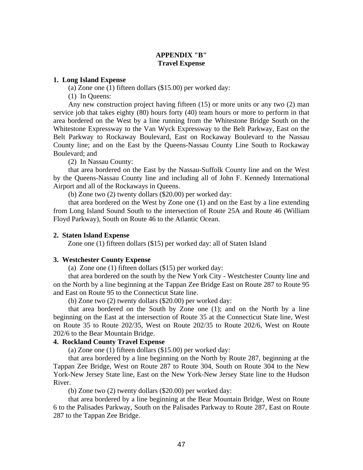# **APPENDIX "B" Travel Expense**

#### **1. Long Island Expense**

(a) Zone one (1) fifteen dollars (\$15.00) per worked day:

(1) In Queens:

Any new construction project having fifteen (15) or more units or any two (2) man service job that takes eighty (80) hours forty (40) team hours or more to perform in that area bordered on the West by a line running from the Whitestone Bridge South on the Whitestone Expressway to the Van Wyck Expressway to the Belt Parkway, East on the Belt Parkway to Rockaway Boulevard, East on Rockaway Boulevard to the Nassau County line; and on the East by the Queens-Nassau County Line South to Rockaway Boulevard; and

(2) In Nassau County:

that area bordered on the East by the Nassau-Suffolk County line and on the West by the Queens-Nassau County line and including all of John F. Kennedy International Airport and all of the Rockaways in Queens.

(b) Zone two (2) twenty dollars (\$20.00) per worked day:

that area bordered on the West by Zone one (1) and on the East by a line extending from Long Island Sound South to the intersection of Route 25A and Route 46 (William Floyd Parkway), South on Route 46 to the Atlantic Ocean.

#### **2. Staten Island Expense**

Zone one (1) fifteen dollars (\$15) per worked day: all of Staten Island

## **3. Westchester County Expense**

(a) Zone one (1) fifteen dollars (\$15) per worked day:

that area bordered on the south by the New York City - Westchester County line and on the North by a line beginning at the Tappan Zee Bridge East on Route 287 to Route 95 and East on Route 95 to the Connecticut State line.

(b) Zone two (2) twenty dollars (\$20.00) per worked day:

that area bordered on the South by Zone one (1); and on the North by a line beginning on the East at the intersection of Route 35 at the Connecticut State line, West on Route 35 to Route 202/35, West on Route 202/35 to Route 202/6, West on Route 202/6 to the Bear Mountain Bridge.

#### **4. Rockland County Travel Expense**

(a) Zone one (1) fifteen dollars (\$15.00) per worked day:

that area bordered by a line beginning on the North by Route 287, beginning at the Tappan Zee Bridge, West on Route 287 to Route 304, South on Route 304 to the New York-New Jersey State line, East on the New York-New Jersey State line to the Hudson River.

(b) Zone two (2) twenty dollars (\$20.00) per worked day:

that area bordered by a line beginning at the Bear Mountain Bridge, West on Route 6 to the Palisades Parkway, South on the Palisades Parkway to Route 287, East on Route 287 to the Tappan Zee Bridge.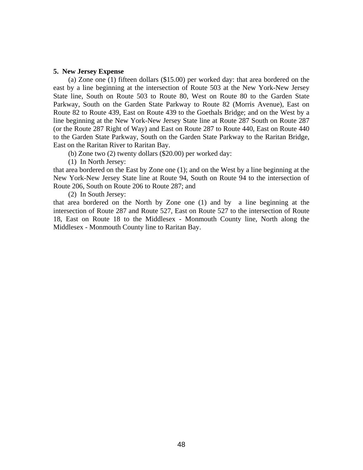#### **5. New Jersey Expense**

(a) Zone one (1) fifteen dollars (\$15.00) per worked day: that area bordered on the east by a line beginning at the intersection of Route 503 at the New York-New Jersey State line, South on Route 503 to Route 80, West on Route 80 to the Garden State Parkway, South on the Garden State Parkway to Route 82 (Morris Avenue), East on Route 82 to Route 439, East on Route 439 to the Goethals Bridge; and on the West by a line beginning at the New York-New Jersey State line at Route 287 South on Route 287 (or the Route 287 Right of Way) and East on Route 287 to Route 440, East on Route 440 to the Garden State Parkway, South on the Garden State Parkway to the Raritan Bridge, East on the Raritan River to Raritan Bay.

(b) Zone two (2) twenty dollars (\$20.00) per worked day:

(1) In North Jersey:

that area bordered on the East by Zone one (1); and on the West by a line beginning at the New York-New Jersey State line at Route 94, South on Route 94 to the intersection of Route 206, South on Route 206 to Route 287; and

(2) In South Jersey:

that area bordered on the North by Zone one (1) and by a line beginning at the intersection of Route 287 and Route 527, East on Route 527 to the intersection of Route 18, East on Route 18 to the Middlesex - Monmouth County line, North along the Middlesex - Monmouth County line to Raritan Bay.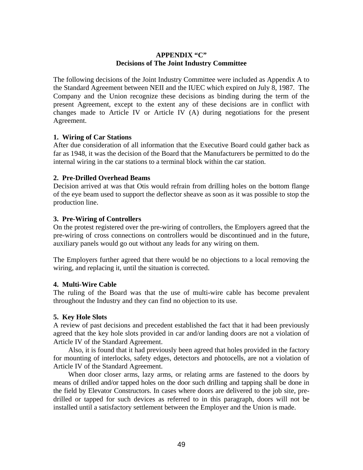# **APPENDIX "C" Decisions of The Joint Industry Committee**

The following decisions of the Joint Industry Committee were included as Appendix A to the Standard Agreement between NEII and the IUEC which expired on July 8, 1987. The Company and the Union recognize these decisions as binding during the term of the present Agreement, except to the extent any of these decisions are in conflict with changes made to Article IV or Article IV (A) during negotiations for the present Agreement.

# **1. Wiring of Car Stations**

After due consideration of all information that the Executive Board could gather back as far as 1948, it was the decision of the Board that the Manufacturers be permitted to do the internal wiring in the car stations to a terminal block within the car station.

# **2. Pre-Drilled Overhead Beams**

Decision arrived at was that Otis would refrain from drilling holes on the bottom flange of the eye beam used to support the deflector sheave as soon as it was possible to stop the production line.

# **3. Pre-Wiring of Controllers**

On the protest registered over the pre-wiring of controllers, the Employers agreed that the pre-wiring of cross connections on controllers would be discontinued and in the future, auxiliary panels would go out without any leads for any wiring on them.

The Employers further agreed that there would be no objections to a local removing the wiring, and replacing it, until the situation is corrected.

## **4. Multi-Wire Cable**

The ruling of the Board was that the use of multi-wire cable has become prevalent throughout the Industry and they can find no objection to its use.

## **5. Key Hole Slots**

A review of past decisions and precedent established the fact that it had been previously agreed that the key hole slots provided in car and/or landing doors are not a violation of Article IV of the Standard Agreement.

Also, it is found that it had previously been agreed that holes provided in the factory for mounting of interlocks, safety edges, detectors and photocells, are not a violation of Article IV of the Standard Agreement.

When door closer arms, lazy arms, or relating arms are fastened to the doors by means of drilled and/or tapped holes on the door such drilling and tapping shall be done in the field by Elevator Constructors. In cases where doors are delivered to the job site, predrilled or tapped for such devices as referred to in this paragraph, doors will not be installed until a satisfactory settlement between the Employer and the Union is made.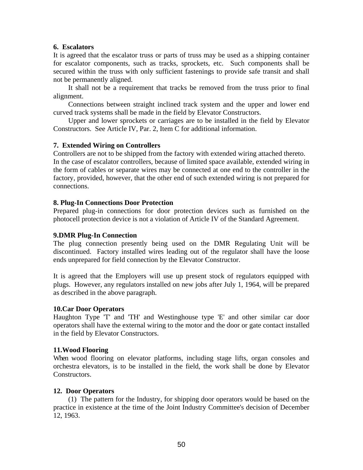#### **6. Escalators**

It is agreed that the escalator truss or parts of truss may be used as a shipping container for escalator components, such as tracks, sprockets, etc. Such components shall be secured within the truss with only sufficient fastenings to provide safe transit and shall not be permanently aligned.

It shall not be a requirement that tracks be removed from the truss prior to final alignment.

Connections between straight inclined track system and the upper and lower end curved track systems shall be made in the field by Elevator Constructors.

Upper and lower sprockets or carriages are to be installed in the field by Elevator Constructors. See Article IV, Par. 2, Item C for additional information.

## **7. Extended Wiring on Controllers**

Controllers are not to be shipped from the factory with extended wiring attached thereto. In the case of escalator controllers, because of limited space available, extended wiring in the form of cables or separate wires may be connected at one end to the controller in the factory, provided, however, that the other end of such extended wiring is not prepared for connections.

## **8. Plug-In Connections Door Protection**

Prepared plug-in connections for door protection devices such as furnished on the photocell protection device is not a violation of Article IV of the Standard Agreement.

#### **9.DMR Plug-In Connection**

The plug connection presently being used on the DMR Regulating Unit will be discontinued. Factory installed wires leading out of the regulator shall have the loose ends unprepared for field connection by the Elevator Constructor.

It is agreed that the Employers will use up present stock of regulators equipped with plugs. However, any regulators installed on new jobs after July 1, 1964, will be prepared as described in the above paragraph.

#### **10.Car Door Operators**

Haughton Type 'T' and 'TH' and Westinghouse type 'E' and other similar car door operators shall have the external wiring to the motor and the door or gate contact installed in the field by Elevator Constructors.

#### **11.Wood Flooring**

When wood flooring on elevator platforms, including stage lifts, organ consoles and orchestra elevators, is to be installed in the field, the work shall be done by Elevator Constructors.

#### **12. Door Operators**

(1) The pattern for the Industry, for shipping door operators would be based on the practice in existence at the time of the Joint Industry Committee's decision of December 12, 1963.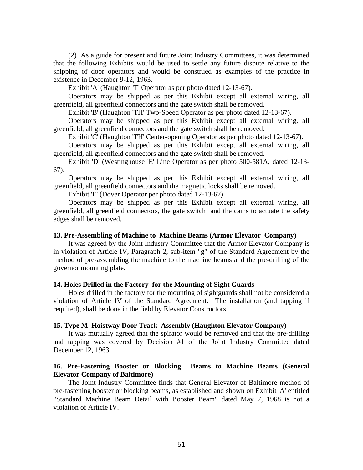(2) As a guide for present and future Joint Industry Committees, it was determined that the following Exhibits would be used to settle any future dispute relative to the shipping of door operators and would be construed as examples of the practice in existence in December 9-12, 1963.

Exhibit 'A' (Haughton 'T' Operator as per photo dated 12-13-67).

Operators may be shipped as per this Exhibit except all external wiring, all greenfield, all greenfield connectors and the gate switch shall be removed.

Exhibit 'B' (Haughton 'TH' Two-Speed Operator as per photo dated 12-13-67).

Operators may be shipped as per this Exhibit except all external wiring, all greenfield, all greenfield connectors and the gate switch shall be removed.

Exhibit 'C' (Haughton 'TH' Center-opening Operator as per photo dated 12-13-67).

Operators may be shipped as per this Exhibit except all external wiring, all greenfield, all greenfield connectors and the gate switch shall be removed.

Exhibit 'D' (Westinghouse 'E' Line Operator as per photo 500-581A, dated 12-13- 67).

Operators may be shipped as per this Exhibit except all external wiring, all greenfield, all greenfield connectors and the magnetic locks shall be removed.

Exhibit 'E' (Dover Operator per photo dated 12-13-67).

Operators may be shipped as per this Exhibit except all external wiring, all greenfield, all greenfield connectors, the gate switch and the cams to actuate the safety edges shall be removed.

#### **13. Pre-Assembling of Machine to Machine Beams (Armor Elevator Company)**

It was agreed by the Joint Industry Committee that the Armor Elevator Company is in violation of Article IV, Paragraph 2, sub-item "g" of the Standard Agreement by the method of pre-assembling the machine to the machine beams and the pre-drilling of the governor mounting plate.

#### **14. Holes Drilled in the Factory for the Mounting of Sight Guards**

Holes drilled in the factory for the mounting of sightguards shall not be considered a violation of Article IV of the Standard Agreement. The installation (and tapping if required), shall be done in the field by Elevator Constructors.

#### **15. Type M Hoistway Door Track Assembly (Haughton Elevator Company)**

It was mutually agreed that the spirator would be removed and that the pre-drilling and tapping was covered by Decision #1 of the Joint Industry Committee dated December 12, 1963.

## **16. Pre-Fastening Booster or Blocking Beams to Machine Beams (General Elevator Company of Baltimore)**

The Joint Industry Committee finds that General Elevator of Baltimore method of pre-fastening booster or blocking beams, as established and shown on Exhibit 'A' entitled "Standard Machine Beam Detail with Booster Beam" dated May 7, 1968 is not a violation of Article IV.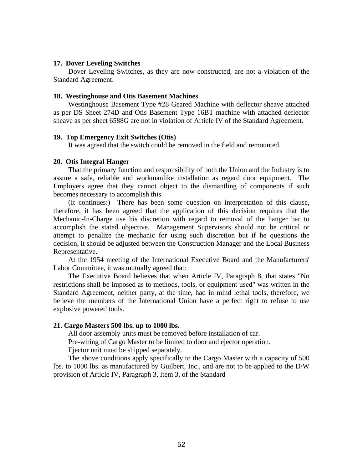#### **17. Dover Leveling Switches**

Dover Leveling Switches, as they are now constructed, are not a violation of the Standard Agreement.

#### **18. Westinghouse and Otis Basement Machines**

Westinghouse Basement Type #28 Geared Machine with deflector sheave attached as per DS Sheet 274D and Otis Basement Type 16BT machine with attached deflector sheave as per sheet 6588G are not in violation of Article IV of the Standard Agreement.

#### **19. Top Emergency Exit Switches (Otis)**

It was agreed that the switch could be removed in the field and remounted.

#### **20. Otis Integral Hanger**

That the primary function and responsibility of both the Union and the Industry is to assure a safe, reliable and workmanlike installation as regard door equipment. The Employers agree that they cannot object to the dismantling of components if such becomes necessary to accomplish this.

(It continues:) There has been some question on interpretation of this clause, therefore, it has been agreed that the application of this decision requires that the Mechanic-In-Charge use his discretion with regard to removal of the hanger bar to accomplish the stated objective. Management Supervisors should not be critical or attempt to penalize the mechanic for using such discretion but if he questions the decision, it should be adjusted between the Construction Manager and the Local Business Representative.

At the 1954 meeting of the International Executive Board and the Manufacturers' Labor Committee, it was mutually agreed that:

The Executive Board believes that when Article IV, Paragraph 8, that states "No restrictions shall be imposed as to methods, tools, or equipment used" was written in the Standard Agreement, neither party, at the time, had in mind lethal tools, therefore, we believe the members of the International Union have a perfect right to refuse to use explosive powered tools.

#### **21. Cargo Masters 500 lbs. up to 1000 lbs.**

All door assembly units must be removed before installation of car.

Pre-wiring of Cargo Master to be limited to door and ejector operation.

Ejector unit must be shipped separately.

The above conditions apply specifically to the Cargo Master with a capacity of 500 lbs. to 1000 lbs. as manufactured by Guilbert, Inc., and are not to be applied to the D/W provision of Article IV, Paragraph 3, Item 3, of the Standard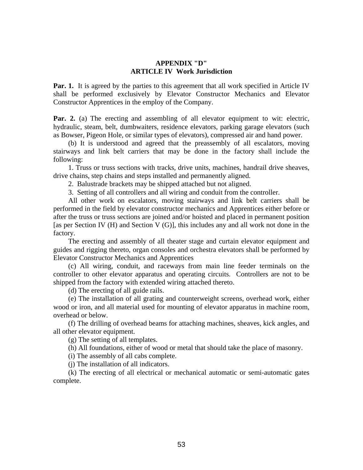#### **APPENDIX "D" ARTICLE IV Work Jurisdiction**

**Par. 1.** It is agreed by the parties to this agreement that all work specified in Article IV shall be performed exclusively by Elevator Constructor Mechanics and Elevator Constructor Apprentices in the employ of the Company.

**Par. 2.** (a) The erecting and assembling of all elevator equipment to wit: electric, hydraulic, steam, belt, dumbwaiters, residence elevators, parking garage elevators (such as Bowser, Pigeon Hole, or similar types of elevators), compressed air and hand power.

(b) It is understood and agreed that the preassembly of all escalators, moving stairways and link belt carriers that may be done in the factory shall include the following:

1. Truss or truss sections with tracks, drive units, machines, handrail drive sheaves, drive chains, step chains and steps installed and permanently aligned.

2. Balustrade brackets may be shipped attached but not aligned.

3. Setting of all controllers and all wiring and conduit from the controller.

All other work on escalators, moving stairways and link belt carriers shall be performed in the field by elevator constructor mechanics and Apprentices either before or after the truss or truss sections are joined and/or hoisted and placed in permanent position [as per Section IV (H) and Section V (G)], this includes any and all work not done in the factory.

The erecting and assembly of all theater stage and curtain elevator equipment and guides and rigging thereto, organ consoles and orchestra elevators shall be performed by Elevator Constructor Mechanics and Apprentices

(c) All wiring, conduit, and raceways from main line feeder terminals on the controller to other elevator apparatus and operating circuits. Controllers are not to be shipped from the factory with extended wiring attached thereto.

(d) The erecting of all guide rails.

(e) The installation of all grating and counterweight screens, overhead work, either wood or iron, and all material used for mounting of elevator apparatus in machine room, overhead or below.

(f) The drilling of overhead beams for attaching machines, sheaves, kick angles, and all other elevator equipment.

(g) The setting of all templates.

(h) All foundations, either of wood or metal that should take the place of masonry.

(i) The assembly of all cabs complete.

(j) The installation of all indicators.

(k) The erecting of all electrical or mechanical automatic or semi-automatic gates complete.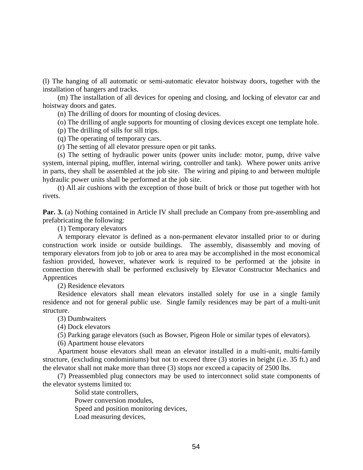(l) The hanging of all automatic or semi-automatic elevator hoistway doors, together with the installation of hangers and tracks.

(m) The installation of all devices for opening and closing, and locking of elevator car and hoistway doors and gates.

(n) The drilling of doors for mounting of closing devices.

(o) The drilling of angle supports for mounting of closing devices except one template hole.

(p) The drilling of sills for sill trips.

(q) The operating of temporary cars.

(r) The setting of all elevator pressure open or pit tanks.

(s) The setting of hydraulic power units (power units include: motor, pump, drive valve system, internal piping, muffler, internal wiring, controller and tank). Where power units arrive in parts, they shall be assembled at the job site. The wiring and piping to and between multiple hydraulic power units shall be performed at the job site.

(t) All air cushions with the exception of those built of brick or those put together with hot rivets.

**Par. 3.** (a) Nothing contained in Article IV shall preclude an Company from pre-assembling and prefabricating the following:

(1) Temporary elevators

A temporary elevator is defined as a non-permanent elevator installed prior to or during construction work inside or outside buildings. The assembly, disassembly and moving of temporary elevators from job to job or area to area may be accomplished in the most economical fashion provided, however, whatever work is required to be performed at the jobsite in connection therewith shall be performed exclusively by Elevator Constructor Mechanics and Apprentices

(2) Residence elevators

Residence elevators shall mean elevators installed solely for use in a single family residence and not for general public use. Single family residences may be part of a multi-unit structure.

(3) Dumbwaiters

(4) Dock elevators

(5) Parking garage elevators (such as Bowser, Pigeon Hole or similar types of elevators).

(6) Apartment house elevators

Apartment house elevators shall mean an elevator installed in a multi-unit, multi-family structure, (excluding condominiums) but not to exceed three (3) stories in height (i.e. 35 ft.) and the elevator shall not make more than three (3) stops nor exceed a capacity of 2500 lbs.

(7) Preassembled plug connectors may be used to interconnect solid state components of the elevator systems limited to:

> Solid state controllers, Power conversion modules, Speed and position monitoring devices, Load measuring devices,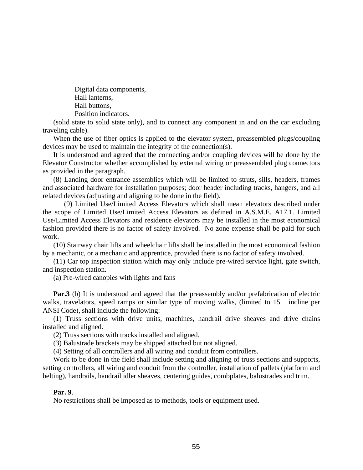Digital data components, Hall lanterns, Hall buttons, Position indicators.

(solid state to solid state only), and to connect any component in and on the car excluding traveling cable).

When the use of fiber optics is applied to the elevator system, preassembled plugs/coupling devices may be used to maintain the integrity of the connection(s).

It is understood and agreed that the connecting and/or coupling devices will be done by the Elevator Constructor whether accomplished by external wiring or preassembled plug connectors as provided in the paragraph.

(8) Landing door entrance assemblies which will be limited to struts, sills, headers, frames and associated hardware for installation purposes; door header including tracks, hangers, and all related devices (adjusting and aligning to be done in the field).

(9) Limited Use/Limited Access Elevators which shall mean elevators described under the scope of Limited Use/Limited Access Elevators as defined in A.S.M.E. A17.1. Limited Use/Limited Access Elevators and residence elevators may be installed in the most economical fashion provided there is no factor of safety involved. No zone expense shall be paid for such work.

(10) Stairway chair lifts and wheelchair lifts shall be installed in the most economical fashion by a mechanic, or a mechanic and apprentice, provided there is no factor of safety involved.

(11) Car top inspection station which may only include pre-wired service light, gate switch, and inspection station.

(a) Pre-wired canopies with lights and fans

**Par.3** (b) It is understood and agreed that the preassembly and/or prefabrication of electric walks, travelators, speed ramps or similar type of moving walks, (limited to 15 incline per ANSI Code), shall include the following:

(1) Truss sections with drive units, machines, handrail drive sheaves and drive chains installed and aligned.

(2) Truss sections with tracks installed and aligned.

(3) Balustrade brackets may be shipped attached but not aligned.

(4) Setting of all controllers and all wiring and conduit from controllers.

Work to be done in the field shall include setting and aligning of truss sections and supports, setting controllers, all wiring and conduit from the controller, installation of pallets (platform and belting), handrails, handrail idler sheaves, centering guides, combplates, balustrades and trim.

#### **Par. 9**.

No restrictions shall be imposed as to methods, tools or equipment used.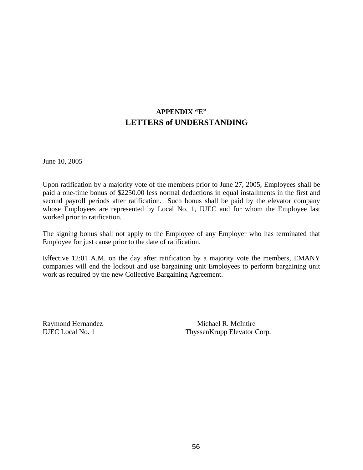# **APPENDIX "E" LETTERS of UNDERSTANDING**

June 10, 2005

Upon ratification by a majority vote of the members prior to June 27, 2005, Employees shall be paid a one-time bonus of \$2250.00 less normal deductions in equal installments in the first and second payroll periods after ratification. Such bonus shall be paid by the elevator company whose Employees are represented by Local No. 1, IUEC and for whom the Employee last worked prior to ratification.

The signing bonus shall not apply to the Employee of any Employer who has terminated that Employee for just cause prior to the date of ratification.

Effective 12:01 A.M. on the day after ratification by a majority vote the members, EMANY companies will end the lockout and use bargaining unit Employees to perform bargaining unit work as required by the new Collective Bargaining Agreement.

Raymond Hernandez Michael R. McIntire IUEC Local No. 1 ThyssenKrupp Elevator Corp.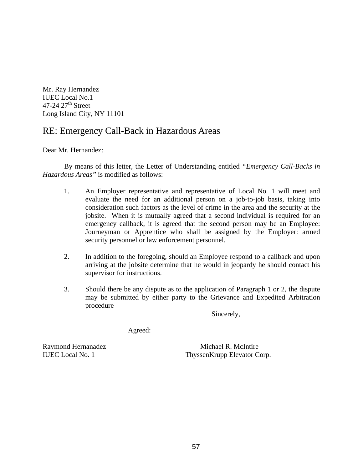Mr. Ray Hernandez IUEC Local No.1  $47-24$   $27<sup>th</sup>$  Street Long Island City, NY 11101

# RE: Emergency Call-Back in Hazardous Areas

Dear Mr. Hernandez:

 By means of this letter, the Letter of Understanding entitled *"Emergency Call-Backs in Hazardous Areas"* is modified as follows:

- 1. An Employer representative and representative of Local No. 1 will meet and evaluate the need for an additional person on a job-to-job basis, taking into consideration such factors as the level of crime in the area and the security at the jobsite. When it is mutually agreed that a second individual is required for an emergency callback, it is agreed that the second person may be an Employee: Journeyman or Apprentice who shall be assigned by the Employer: armed security personnel or law enforcement personnel.
- 2. In addition to the foregoing, should an Employee respond to a callback and upon arriving at the jobsite determine that he would in jeopardy he should contact his supervisor for instructions.
- 3. Should there be any dispute as to the application of Paragraph 1 or 2, the dispute may be submitted by either party to the Grievance and Expedited Arbitration procedure

Sincerely,

Agreed:

Raymond Hernanadez Michael R. McIntire IUEC Local No. 1 ThyssenKrupp Elevator Corp.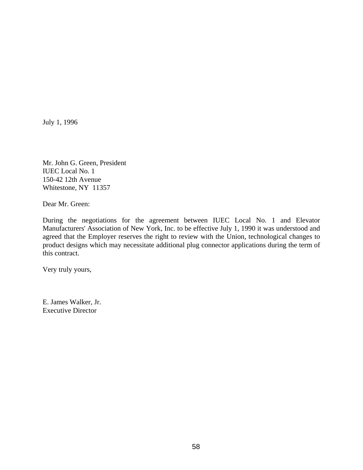Mr. John G. Green, President IUEC Local No. 1 150-42 12th Avenue Whitestone, NY 11357

Dear Mr. Green:

During the negotiations for the agreement between IUEC Local No. 1 and Elevator Manufacturers' Association of New York, Inc. to be effective July 1, 1990 it was understood and agreed that the Employer reserves the right to review with the Union, technological changes to product designs which may necessitate additional plug connector applications during the term of this contract.

Very truly yours,

E. James Walker, Jr. Executive Director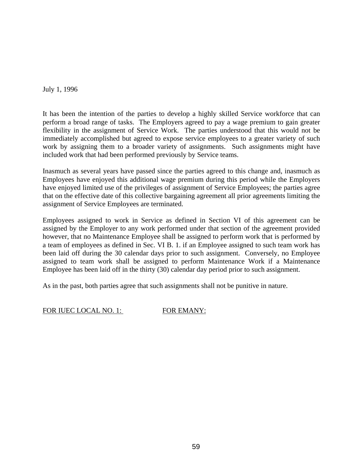It has been the intention of the parties to develop a highly skilled Service workforce that can perform a broad range of tasks. The Employers agreed to pay a wage premium to gain greater flexibility in the assignment of Service Work. The parties understood that this would not be immediately accomplished but agreed to expose service employees to a greater variety of such work by assigning them to a broader variety of assignments. Such assignments might have included work that had been performed previously by Service teams.

Inasmuch as several years have passed since the parties agreed to this change and, inasmuch as Employees have enjoyed this additional wage premium during this period while the Employers have enjoyed limited use of the privileges of assignment of Service Employees; the parties agree that on the effective date of this collective bargaining agreement all prior agreements limiting the assignment of Service Employees are terminated.

Employees assigned to work in Service as defined in Section VI of this agreement can be assigned by the Employer to any work performed under that section of the agreement provided however, that no Maintenance Employee shall be assigned to perform work that is performed by a team of employees as defined in Sec. VI B. 1. if an Employee assigned to such team work has been laid off during the 30 calendar days prior to such assignment. Conversely, no Employee assigned to team work shall be assigned to perform Maintenance Work if a Maintenance Employee has been laid off in the thirty (30) calendar day period prior to such assignment.

As in the past, both parties agree that such assignments shall not be punitive in nature.

FOR IUEC LOCAL NO. 1: FOR EMANY: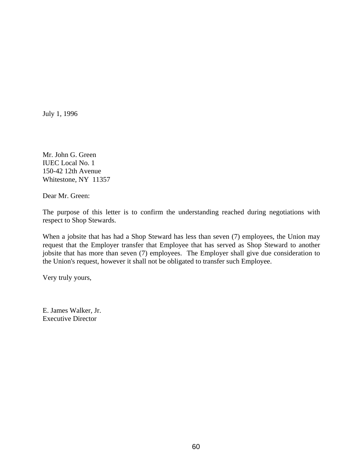Mr. John G. Green IUEC Local No. 1 150-42 12th Avenue Whitestone, NY 11357

Dear Mr. Green:

The purpose of this letter is to confirm the understanding reached during negotiations with respect to Shop Stewards.

When a jobsite that has had a Shop Steward has less than seven (7) employees, the Union may request that the Employer transfer that Employee that has served as Shop Steward to another jobsite that has more than seven (7) employees. The Employer shall give due consideration to the Union's request, however it shall not be obligated to transfer such Employee.

Very truly yours,

E. James Walker, Jr. Executive Director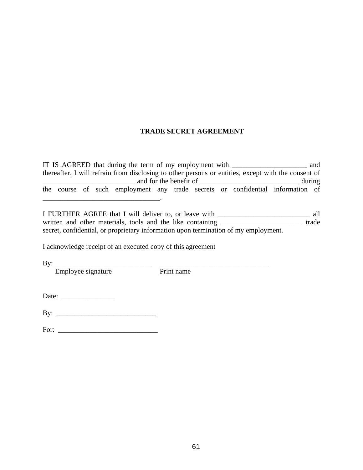# **TRADE SECRET AGREEMENT**

IT IS AGREED that during the term of my employment with \_\_\_\_\_\_\_\_\_\_\_\_\_\_\_\_\_\_\_\_\_ and thereafter, I will refrain from disclosing to other persons or entities, except with the consent of \_\_\_\_\_\_\_\_\_\_\_\_\_\_\_\_\_\_\_\_\_\_\_\_\_\_ and for the benefit of \_\_\_\_\_\_\_\_\_\_\_\_\_\_\_\_\_\_\_\_\_\_\_\_\_\_\_\_ during the course of such employment any trade secrets or confidential information of

I FURTHER AGREE that I will deliver to, or leave with \_\_\_\_\_\_\_\_\_\_\_\_\_\_\_\_\_\_\_\_\_\_\_\_\_\_ all written and other materials, tools and the like containing \_\_\_\_\_\_\_\_\_\_\_\_\_\_\_\_\_\_\_\_\_\_\_ trade secret, confidential, or proprietary information upon termination of my employment.

I acknowledge receipt of an executed copy of this agreement

 $\mathcal{L}=\mathcal{L}=\mathcal{L}=\mathcal{L}=\mathcal{L}=\mathcal{L}=\mathcal{L}=\mathcal{L}=\mathcal{L}=\mathcal{L}=\mathcal{L}=\mathcal{L}=\mathcal{L}=\mathcal{L}=\mathcal{L}=\mathcal{L}=\mathcal{L}=\mathcal{L}=\mathcal{L}=\mathcal{L}=\mathcal{L}=\mathcal{L}=\mathcal{L}=\mathcal{L}=\mathcal{L}=\mathcal{L}=\mathcal{L}=\mathcal{L}=\mathcal{L}=\mathcal{L}=\mathcal{L}=\mathcal{L}=\mathcal{L}=\mathcal{L}=\mathcal{L}=\mathcal{L}=\mathcal{$ 

By: \_\_\_\_\_\_\_\_\_\_\_\_\_\_\_\_\_\_\_\_\_\_\_\_\_\_\_ \_\_\_\_\_\_\_\_\_\_\_\_\_\_\_\_\_\_\_\_\_\_\_\_\_\_\_\_\_\_\_

Employee signature Print name

Date: \_\_\_\_\_\_\_\_\_\_\_\_\_\_\_

By: \_\_\_\_\_\_\_\_\_\_\_\_\_\_\_\_\_\_\_\_\_\_\_\_\_\_\_\_

For: \_\_\_\_\_\_\_\_\_\_\_\_\_\_\_\_\_\_\_\_\_\_\_\_\_\_\_\_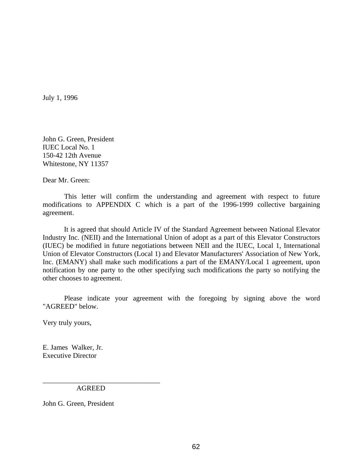John G. Green, President IUEC Local No. 1 150-42 12th Avenue Whitestone, NY 11357

Dear Mr. Green:

 This letter will confirm the understanding and agreement with respect to future modifications to APPENDIX C which is a part of the 1996-1999 collective bargaining agreement.

 It is agreed that should Article IV of the Standard Agreement between National Elevator Industry Inc. (NEII) and the International Union of adopt as a part of this Elevator Constructors (IUEC) be modified in future negotiations between NEII and the IUEC, Local 1, International Union of Elevator Constructors (Local 1) and Elevator Manufacturers' Association of New York, Inc. (EMANY) shall make such modifications a part of the EMANY/Local 1 agreement, upon notification by one party to the other specifying such modifications the party so notifying the other chooses to agreement.

 Please indicate your agreement with the foregoing by signing above the word "AGREED" below.

Very truly yours,

E. James Walker, Jr. Executive Director

AGREED

\_\_\_\_\_\_\_\_\_\_\_\_\_\_\_\_\_\_\_\_\_\_\_\_\_\_\_\_\_\_\_\_\_

John G. Green, President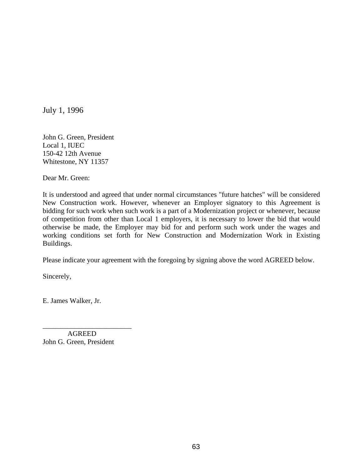John G. Green, President Local 1, IUEC 150-42 12th Avenue Whitestone, NY 11357

Dear Mr. Green:

It is understood and agreed that under normal circumstances "future hatches" will be considered New Construction work. However, whenever an Employer signatory to this Agreement is bidding for such work when such work is a part of a Modernization project or whenever, because of competition from other than Local 1 employers, it is necessary to lower the bid that would otherwise be made, the Employer may bid for and perform such work under the wages and working conditions set forth for New Construction and Modernization Work in Existing Buildings.

Please indicate your agreement with the foregoing by signing above the word AGREED below.

Sincerely,

E. James Walker, Jr.

 AGREED John G. Green, President

\_\_\_\_\_\_\_\_\_\_\_\_\_\_\_\_\_\_\_\_\_\_\_\_\_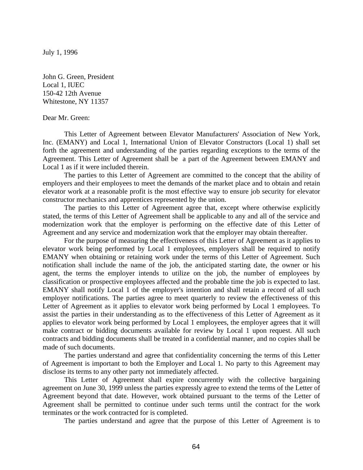John G. Green, President Local 1, IUEC 150-42 12th Avenue Whitestone, NY 11357

#### Dear Mr. Green:

 This Letter of Agreement between Elevator Manufacturers' Association of New York, Inc. (EMANY) and Local 1, International Union of Elevator Constructors (Local 1) shall set forth the agreement and understanding of the parties regarding exceptions to the terms of the Agreement. This Letter of Agreement shall be a part of the Agreement between EMANY and Local 1 as if it were included therein.

 The parties to this Letter of Agreement are committed to the concept that the ability of employers and their employees to meet the demands of the market place and to obtain and retain elevator work at a reasonable profit is the most effective way to ensure job security for elevator constructor mechanics and apprentices represented by the union.

 The parties to this Letter of Agreement agree that, except where otherwise explicitly stated, the terms of this Letter of Agreement shall be applicable to any and all of the service and modernization work that the employer is performing on the effective date of this Letter of Agreement and any service and modernization work that the employer may obtain thereafter.

 For the purpose of measuring the effectiveness of this Letter of Agreement as it applies to elevator work being performed by Local 1 employees, employers shall be required to notify EMANY when obtaining or retaining work under the terms of this Letter of Agreement. Such notification shall include the name of the job, the anticipated starting date, the owner or his agent, the terms the employer intends to utilize on the job, the number of employees by classification or prospective employees affected and the probable time the job is expected to last. EMANY shall notify Local 1 of the employer's intention and shall retain a record of all such employer notifications. The parties agree to meet quarterly to review the effectiveness of this Letter of Agreement as it applies to elevator work being performed by Local 1 employees. To assist the parties in their understanding as to the effectiveness of this Letter of Agreement as it applies to elevator work being performed by Local 1 employees, the employer agrees that it will make contract or bidding documents available for review by Local 1 upon request. All such contracts and bidding documents shall be treated in a confidential manner, and no copies shall be made of such documents.

 The parties understand and agree that confidentiality concerning the terms of this Letter of Agreement is important to both the Employer and Local 1. No party to this Agreement may disclose its terms to any other party not immediately affected.

 This Letter of Agreement shall expire concurrently with the collective bargaining agreement on June 30, 1999 unless the parties expressly agree to extend the terms of the Letter of Agreement beyond that date. However, work obtained pursuant to the terms of the Letter of Agreement shall be permitted to continue under such terms until the contract for the work terminates or the work contracted for is completed.

The parties understand and agree that the purpose of this Letter of Agreement is to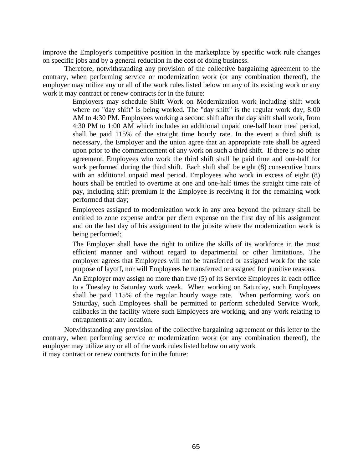improve the Employer's competitive position in the marketplace by specific work rule changes on specific jobs and by a general reduction in the cost of doing business.

 Therefore, notwithstanding any provision of the collective bargaining agreement to the contrary, when performing service or modernization work (or any combination thereof), the employer may utilize any or all of the work rules listed below on any of its existing work or any work it may contract or renew contracts for in the future:

> Employers may schedule Shift Work on Modernization work including shift work where no "day shift" is being worked. The "day shift" is the regular work day, 8:00 AM to 4:30 PM. Employees working a second shift after the day shift shall work, from 4:30 PM to 1:00 AM which includes an additional unpaid one-half hour meal period, shall be paid 115% of the straight time hourly rate. In the event a third shift is necessary, the Employer and the union agree that an appropriate rate shall be agreed upon prior to the commencement of any work on such a third shift. If there is no other agreement, Employees who work the third shift shall be paid time and one-half for work performed during the third shift. Each shift shall be eight (8) consecutive hours with an additional unpaid meal period. Employees who work in excess of eight  $(8)$ hours shall be entitled to overtime at one and one-half times the straight time rate of pay, including shift premium if the Employee is receiving it for the remaining work performed that day;

> Employees assigned to modernization work in any area beyond the primary shall be entitled to zone expense and/or per diem expense on the first day of his assignment and on the last day of his assignment to the jobsite where the modernization work is being performed;

> The Employer shall have the right to utilize the skills of its workforce in the most efficient manner and without regard to departmental or other limitations. The employer agrees that Employees will not be transferred or assigned work for the sole purpose of layoff, nor will Employees be transferred or assigned for punitive reasons.

> An Employer may assign no more than five (5) of its Service Employees in each office to a Tuesday to Saturday work week. When working on Saturday, such Employees shall be paid 115% of the regular hourly wage rate. When performing work on Saturday, such Employees shall be permitted to perform scheduled Service Work, callbacks in the facility where such Employees are working, and any work relating to entrapments at any location.

 Notwithstanding any provision of the collective bargaining agreement or this letter to the contrary, when performing service or modernization work (or any combination thereof), the employer may utilize any or all of the work rules listed below on any work it may contract or renew contracts for in the future: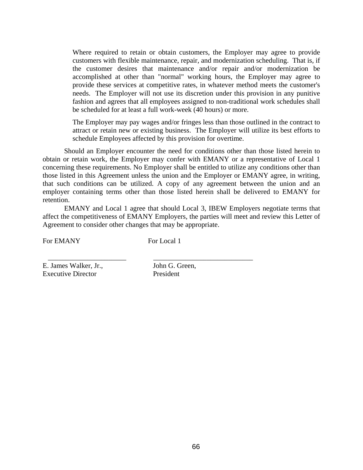Where required to retain or obtain customers, the Employer may agree to provide customers with flexible maintenance, repair, and modernization scheduling. That is, if the customer desires that maintenance and/or repair and/or modernization be accomplished at other than "normal" working hours, the Employer may agree to provide these services at competitive rates, in whatever method meets the customer's needs. The Employer will not use its discretion under this provision in any punitive fashion and agrees that all employees assigned to non-traditional work schedules shall be scheduled for at least a full work-week (40 hours) or more.

The Employer may pay wages and/or fringes less than those outlined in the contract to attract or retain new or existing business. The Employer will utilize its best efforts to schedule Employees affected by this provision for overtime.

 Should an Employer encounter the need for conditions other than those listed herein to obtain or retain work, the Employer may confer with EMANY or a representative of Local 1 concerning these requirements. No Employer shall be entitled to utilize any conditions other than those listed in this Agreement unless the union and the Employer or EMANY agree, in writing, that such conditions can be utilized. A copy of any agreement between the union and an employer containing terms other than those listed herein shall be delivered to EMANY for retention.

 EMANY and Local 1 agree that should Local 3, IBEW Employers negotiate terms that affect the competitiveness of EMANY Employers, the parties will meet and review this Letter of Agreement to consider other changes that may be appropriate.

For EMANY For Local 1

\_\_\_\_\_\_\_\_\_\_\_\_\_\_\_\_\_\_\_\_\_\_ \_\_\_\_\_\_\_\_\_\_\_\_\_\_\_\_\_\_\_\_\_\_\_\_\_\_\_\_

E. James Walker, Jr., John G. Green, Executive Director President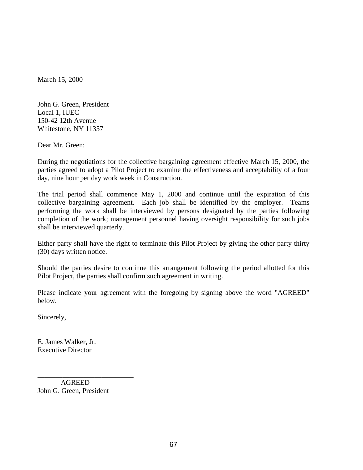March 15, 2000

John G. Green, President Local 1, IUEC 150-42 12th Avenue Whitestone, NY 11357

Dear Mr. Green:

During the negotiations for the collective bargaining agreement effective March 15, 2000, the parties agreed to adopt a Pilot Project to examine the effectiveness and acceptability of a four day, nine hour per day work week in Construction.

The trial period shall commence May 1, 2000 and continue until the expiration of this collective bargaining agreement. Each job shall be identified by the employer. Teams performing the work shall be interviewed by persons designated by the parties following completion of the work; management personnel having oversight responsibility for such jobs shall be interviewed quarterly.

Either party shall have the right to terminate this Pilot Project by giving the other party thirty (30) days written notice.

Should the parties desire to continue this arrangement following the period allotted for this Pilot Project, the parties shall confirm such agreement in writing.

Please indicate your agreement with the foregoing by signing above the word "AGREED" below.

Sincerely,

E. James Walker, Jr. Executive Director

 AGREED John G. Green, President

\_\_\_\_\_\_\_\_\_\_\_\_\_\_\_\_\_\_\_\_\_\_\_\_\_\_\_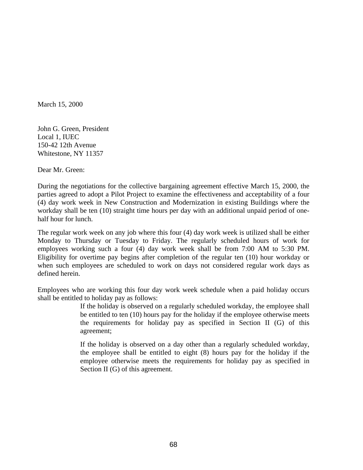March 15, 2000

John G. Green, President Local 1, IUEC 150-42 12th Avenue Whitestone, NY 11357

Dear Mr. Green:

During the negotiations for the collective bargaining agreement effective March 15, 2000, the parties agreed to adopt a Pilot Project to examine the effectiveness and acceptability of a four (4) day work week in New Construction and Modernization in existing Buildings where the workday shall be ten (10) straight time hours per day with an additional unpaid period of onehalf hour for lunch.

The regular work week on any job where this four (4) day work week is utilized shall be either Monday to Thursday or Tuesday to Friday. The regularly scheduled hours of work for employees working such a four (4) day work week shall be from 7:00 AM to 5:30 PM. Eligibility for overtime pay begins after completion of the regular ten (10) hour workday or when such employees are scheduled to work on days not considered regular work days as defined herein.

Employees who are working this four day work week schedule when a paid holiday occurs shall be entitled to holiday pay as follows:

> If the holiday is observed on a regularly scheduled workday, the employee shall be entitled to ten (10) hours pay for the holiday if the employee otherwise meets the requirements for holiday pay as specified in Section II (G) of this agreement;

> If the holiday is observed on a day other than a regularly scheduled workday, the employee shall be entitled to eight (8) hours pay for the holiday if the employee otherwise meets the requirements for holiday pay as specified in Section II (G) of this agreement.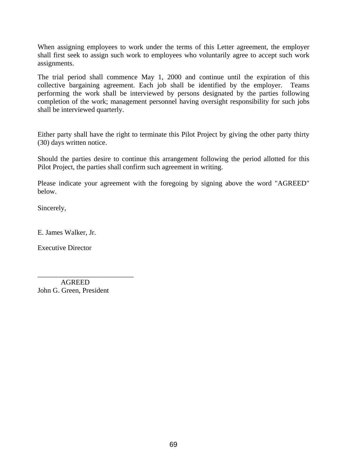When assigning employees to work under the terms of this Letter agreement, the employer shall first seek to assign such work to employees who voluntarily agree to accept such work assignments.

The trial period shall commence May 1, 2000 and continue until the expiration of this collective bargaining agreement. Each job shall be identified by the employer. Teams performing the work shall be interviewed by persons designated by the parties following completion of the work; management personnel having oversight responsibility for such jobs shall be interviewed quarterly.

Either party shall have the right to terminate this Pilot Project by giving the other party thirty (30) days written notice.

Should the parties desire to continue this arrangement following the period allotted for this Pilot Project, the parties shall confirm such agreement in writing.

Please indicate your agreement with the foregoing by signing above the word "AGREED" below.

Sincerely,

E. James Walker, Jr.

Executive Director

 AGREED John G. Green, President

\_\_\_\_\_\_\_\_\_\_\_\_\_\_\_\_\_\_\_\_\_\_\_\_\_\_\_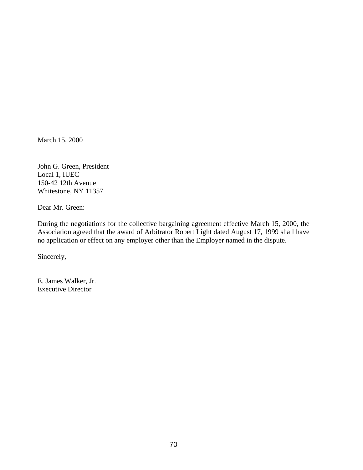March 15, 2000

John G. Green, President Local 1, IUEC 150-42 12th Avenue Whitestone, NY 11357

Dear Mr. Green:

During the negotiations for the collective bargaining agreement effective March 15, 2000, the Association agreed that the award of Arbitrator Robert Light dated August 17, 1999 shall have no application or effect on any employer other than the Employer named in the dispute.

Sincerely,

E. James Walker, Jr. Executive Director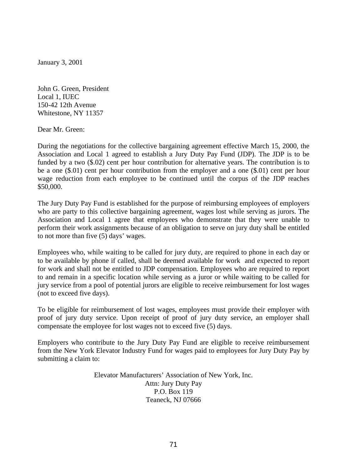January 3, 2001

John G. Green, President Local 1, IUEC 150-42 12th Avenue Whitestone, NY 11357

Dear Mr. Green:

During the negotiations for the collective bargaining agreement effective March 15, 2000, the Association and Local 1 agreed to establish a Jury Duty Pay Fund (JDP). The JDP is to be funded by a two (\$.02) cent per hour contribution for alternative years. The contribution is to be a one (\$.01) cent per hour contribution from the employer and a one (\$.01) cent per hour wage reduction from each employee to be continued until the corpus of the JDP reaches \$50,000.

The Jury Duty Pay Fund is established for the purpose of reimbursing employees of employers who are party to this collective bargaining agreement, wages lost while serving as jurors. The Association and Local 1 agree that employees who demonstrate that they were unable to perform their work assignments because of an obligation to serve on jury duty shall be entitled to not more than five (5) days' wages.

Employees who, while waiting to be called for jury duty, are required to phone in each day or to be available by phone if called, shall be deemed available for work and expected to report for work and shall not be entitled to JDP compensation. Employees who are required to report to and remain in a specific location while serving as a juror or while waiting to be called for jury service from a pool of potential jurors are eligible to receive reimbursement for lost wages (not to exceed five days).

To be eligible for reimbursement of lost wages, employees must provide their employer with proof of jury duty service. Upon receipt of proof of jury duty service, an employer shall compensate the employee for lost wages not to exceed five (5) days.

Employers who contribute to the Jury Duty Pay Fund are eligible to receive reimbursement from the New York Elevator Industry Fund for wages paid to employees for Jury Duty Pay by submitting a claim to:

> Elevator Manufacturers' Association of New York, Inc. Attn: Jury Duty Pay P.O. Box 119 Teaneck, NJ 07666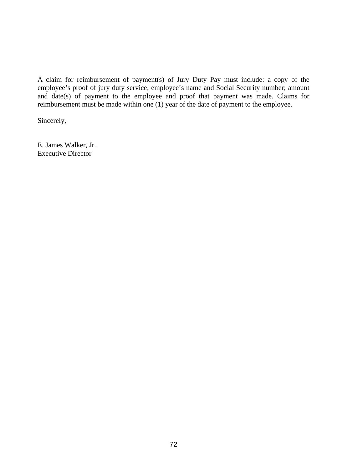A claim for reimbursement of payment(s) of Jury Duty Pay must include: a copy of the employee's proof of jury duty service; employee's name and Social Security number; amount and date(s) of payment to the employee and proof that payment was made. Claims for reimbursement must be made within one (1) year of the date of payment to the employee.

Sincerely,

E. James Walker, Jr. Executive Director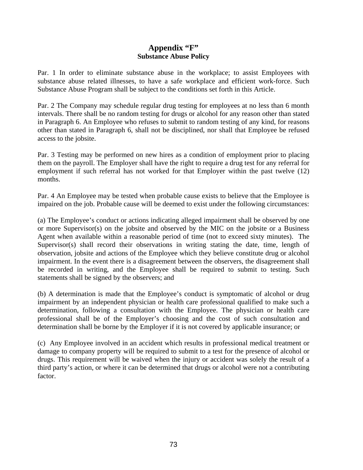## **Appendix "F" Substance Abuse Policy**

Par. 1 In order to eliminate substance abuse in the workplace; to assist Employees with substance abuse related illnesses, to have a safe workplace and efficient work-force. Such Substance Abuse Program shall be subject to the conditions set forth in this Article.

Par. 2 The Company may schedule regular drug testing for employees at no less than 6 month intervals. There shall be no random testing for drugs or alcohol for any reason other than stated in Paragraph 6. An Employee who refuses to submit to random testing of any kind, for reasons other than stated in Paragraph 6, shall not be disciplined, nor shall that Employee be refused access to the jobsite.

Par. 3 Testing may be performed on new hires as a condition of employment prior to placing them on the payroll. The Employer shall have the right to require a drug test for any referral for employment if such referral has not worked for that Employer within the past twelve (12) months.

Par. 4 An Employee may be tested when probable cause exists to believe that the Employee is impaired on the job. Probable cause will be deemed to exist under the following circumstances:

(a) The Employee's conduct or actions indicating alleged impairment shall be observed by one or more Supervisor(s) on the jobsite and observed by the MIC on the jobsite or a Business Agent when available within a reasonable period of time (not to exceed sixty minutes). The Supervisor(s) shall record their observations in writing stating the date, time, length of observation, jobsite and actions of the Employee which they believe constitute drug or alcohol impairment. In the event there is a disagreement between the observers, the disagreement shall be recorded in writing, and the Employee shall be required to submit to testing. Such statements shall be signed by the observers; and

(b) A determination is made that the Employee's conduct is symptomatic of alcohol or drug impairment by an independent physician or health care professional qualified to make such a determination, following a consultation with the Employee. The physician or health care professional shall be of the Employer's choosing and the cost of such consultation and determination shall be borne by the Employer if it is not covered by applicable insurance; or

(c) Any Employee involved in an accident which results in professional medical treatment or damage to company property will be required to submit to a test for the presence of alcohol or drugs. This requirement will be waived when the injury or accident was solely the result of a third party's action, or where it can be determined that drugs or alcohol were not a contributing factor.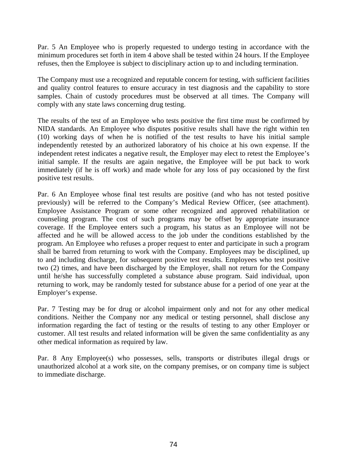Par. 5 An Employee who is properly requested to undergo testing in accordance with the minimum procedures set forth in item 4 above shall be tested within 24 hours. If the Employee refuses, then the Employee is subject to disciplinary action up to and including termination.

The Company must use a recognized and reputable concern for testing, with sufficient facilities and quality control features to ensure accuracy in test diagnosis and the capability to store samples. Chain of custody procedures must be observed at all times. The Company will comply with any state laws concerning drug testing.

The results of the test of an Employee who tests positive the first time must be confirmed by NIDA standards. An Employee who disputes positive results shall have the right within ten (10) working days of when he is notified of the test results to have his initial sample independently retested by an authorized laboratory of his choice at his own expense. If the independent retest indicates a negative result, the Employer may elect to retest the Employee's initial sample. If the results are again negative, the Employee will be put back to work immediately (if he is off work) and made whole for any loss of pay occasioned by the first positive test results.

Par. 6 An Employee whose final test results are positive (and who has not tested positive previously) will be referred to the Company's Medical Review Officer, (see attachment). Employee Assistance Program or some other recognized and approved rehabilitation or counseling program. The cost of such programs may be offset by appropriate insurance coverage. If the Employee enters such a program, his status as an Employee will not be affected and he will be allowed access to the job under the conditions established by the program. An Employee who refuses a proper request to enter and participate in such a program shall be barred from returning to work with the Company. Employees may be disciplined, up to and including discharge, for subsequent positive test results. Employees who test positive two (2) times, and have been discharged by the Employer, shall not return for the Company until he/she has successfully completed a substance abuse program. Said individual, upon returning to work, may be randomly tested for substance abuse for a period of one year at the Employer's expense.

Par. 7 Testing may be for drug or alcohol impairment only and not for any other medical conditions. Neither the Company nor any medical or testing personnel, shall disclose any information regarding the fact of testing or the results of testing to any other Employer or customer. All test results and related information will be given the same confidentiality as any other medical information as required by law.

Par. 8 Any Employee(s) who possesses, sells, transports or distributes illegal drugs or unauthorized alcohol at a work site, on the company premises, or on company time is subject to immediate discharge.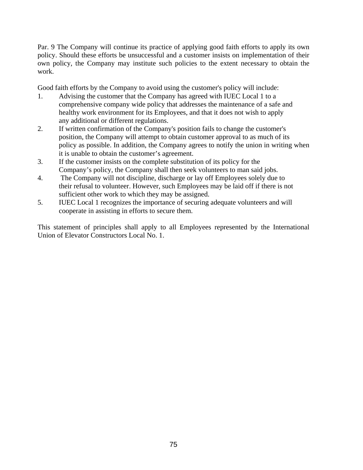Par. 9 The Company will continue its practice of applying good faith efforts to apply its own policy. Should these efforts be unsuccessful and a customer insists on implementation of their own policy, the Company may institute such policies to the extent necessary to obtain the work.

Good faith efforts by the Company to avoid using the customer's policy will include:

- 1. Advising the customer that the Company has agreed with IUEC Local 1 to a comprehensive company wide policy that addresses the maintenance of a safe and healthy work environment for its Employees, and that it does not wish to apply any additional or different regulations.
- 2. If written confirmation of the Company's position fails to change the customer's position, the Company will attempt to obtain customer approval to as much of its policy as possible. In addition, the Company agrees to notify the union in writing when it is unable to obtain the customer's agreement.
- 3. If the customer insists on the complete substitution of its policy for the Company's policy, the Company shall then seek volunteers to man said jobs.
- 4. The Company will not discipline, discharge or lay off Employees solely due to their refusal to volunteer. However, such Employees may be laid off if there is not sufficient other work to which they may be assigned.
- 5. IUEC Local 1 recognizes the importance of securing adequate volunteers and will cooperate in assisting in efforts to secure them.

This statement of principles shall apply to all Employees represented by the International Union of Elevator Constructors Local No. 1.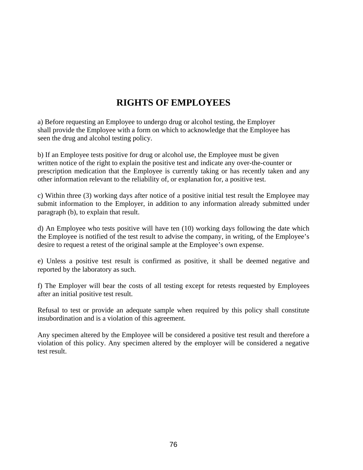## **RIGHTS OF EMPLOYEES**

a) Before requesting an Employee to undergo drug or alcohol testing, the Employer shall provide the Employee with a form on which to acknowledge that the Employee has seen the drug and alcohol testing policy.

b) If an Employee tests positive for drug or alcohol use, the Employee must be given written notice of the right to explain the positive test and indicate any over-the-counter or prescription medication that the Employee is currently taking or has recently taken and any other information relevant to the reliability of, or explanation for, a positive test.

c) Within three (3) working days after notice of a positive initial test result the Employee may submit information to the Employer, in addition to any information already submitted under paragraph (b), to explain that result.

d) An Employee who tests positive will have ten (10) working days following the date which the Employee is notified of the test result to advise the company, in writing, of the Employee's desire to request a retest of the original sample at the Employee's own expense.

e) Unless a positive test result is confirmed as positive, it shall be deemed negative and reported by the laboratory as such.

f) The Employer will bear the costs of all testing except for retests requested by Employees after an initial positive test result.

Refusal to test or provide an adequate sample when required by this policy shall constitute insubordination and is a violation of this agreement.

Any specimen altered by the Employee will be considered a positive test result and therefore a violation of this policy. Any specimen altered by the employer will be considered a negative test result.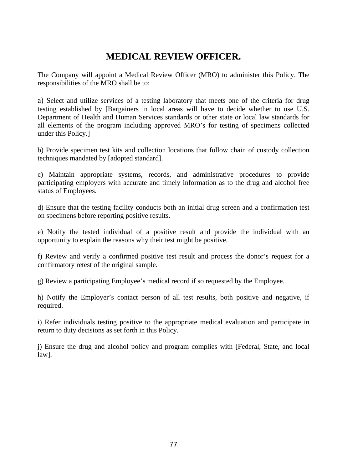## **MEDICAL REVIEW OFFICER.**

The Company will appoint a Medical Review Officer (MRO) to administer this Policy. The responsibilities of the MRO shall be to:

a) Select and utilize services of a testing laboratory that meets one of the criteria for drug testing established by [Bargainers in local areas will have to decide whether to use U.S. Department of Health and Human Services standards or other state or local law standards for all elements of the program including approved MRO's for testing of specimens collected under this Policy.]

b) Provide specimen test kits and collection locations that follow chain of custody collection techniques mandated by [adopted standard].

c) Maintain appropriate systems, records, and administrative procedures to provide participating employers with accurate and timely information as to the drug and alcohol free status of Employees.

d) Ensure that the testing facility conducts both an initial drug screen and a confirmation test on specimens before reporting positive results.

e) Notify the tested individual of a positive result and provide the individual with an opportunity to explain the reasons why their test might be positive.

f) Review and verify a confirmed positive test result and process the donor's request for a confirmatory retest of the original sample.

g) Review a participating Employee's medical record if so requested by the Employee.

h) Notify the Employer's contact person of all test results, both positive and negative, if required.

i) Refer individuals testing positive to the appropriate medical evaluation and participate in return to duty decisions as set forth in this Policy.

j) Ensure the drug and alcohol policy and program complies with [Federal, State, and local law].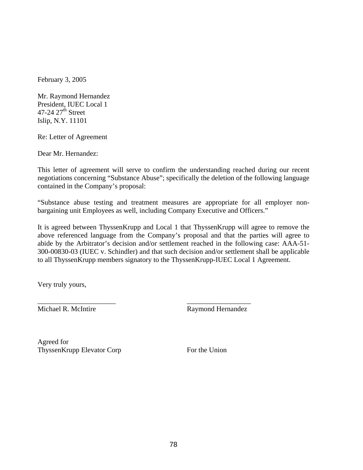February 3, 2005

Mr. Raymond Hernandez President, IUEC Local 1 47-24  $27<sup>th</sup>$  Street Islip, N.Y. 11101

Re: Letter of Agreement

Dear Mr. Hernandez:

This letter of agreement will serve to confirm the understanding reached during our recent negotiations concerning "Substance Abuse"; specifically the deletion of the following language contained in the Company's proposal:

"Substance abuse testing and treatment measures are appropriate for all employer nonbargaining unit Employees as well, including Company Executive and Officers."

It is agreed between ThyssenKrupp and Local 1 that ThyssenKrupp will agree to remove the above referenced language from the Company's proposal and that the parties will agree to abide by the Arbitrator's decision and/or settlement reached in the following case: AAA-51- 300-00830-03 (IUEC v. Schindler) and that such decision and/or settlement shall be applicable to all ThyssenKrupp members signatory to the ThyssenKrupp-IUEC Local 1 Agreement.

Very truly yours,

\_\_\_\_\_\_\_\_\_\_\_\_\_\_\_\_\_\_\_\_\_\_ \_\_\_\_\_\_\_\_\_\_\_\_\_\_\_\_\_\_

Michael R. McIntire Raymond Hernandez

Agreed for ThyssenKrupp Elevator Corp For the Union